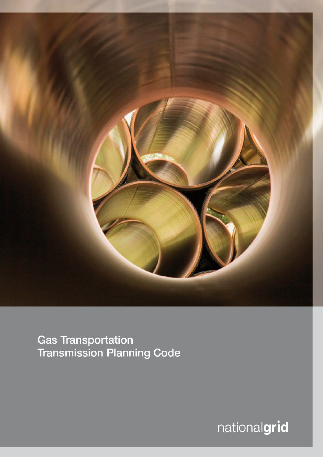

**Gas Transportation Transmission Planning Code** 

nationalgrid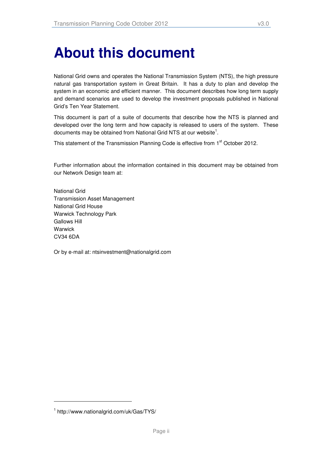# **About this document**

National Grid owns and operates the National Transmission System (NTS), the high pressure natural gas transportation system in Great Britain. It has a duty to plan and develop the system in an economic and efficient manner. This document describes how long term supply and demand scenarios are used to develop the investment proposals published in National Grid's Ten Year Statement.

This document is part of a suite of documents that describe how the NTS is planned and developed over the long term and how capacity is released to users of the system. These documents may be obtained from National Grid NTS at our website<sup>1</sup>.

This statement of the Transmission Planning Code is effective from 1<sup>st</sup> October 2012.

Further information about the information contained in this document may be obtained from our Network Design team at:

National Grid Transmission Asset Management National Grid House Warwick Technology Park Gallows Hill **Warwick** CV34 6DA

Or by e-mail at: ntsinvestment@nationalgrid.com

-

<sup>1</sup> http://www.nationalgrid.com/uk/Gas/TYS/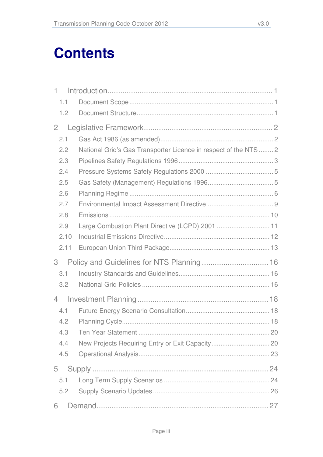# **Contents**

| $1 -$          |                                                                  |  |
|----------------|------------------------------------------------------------------|--|
| 1.1            |                                                                  |  |
| 1.2            |                                                                  |  |
| $\overline{2}$ |                                                                  |  |
| 2.1            |                                                                  |  |
| 2.2            | National Grid's Gas Transporter Licence in respect of the NTS  2 |  |
| 2.3            |                                                                  |  |
| 2.4            |                                                                  |  |
| 2.5            |                                                                  |  |
| 2.6            |                                                                  |  |
| 2.7            |                                                                  |  |
| 2.8            |                                                                  |  |
| 2.9            | Large Combustion Plant Directive (LCPD) 2001  11                 |  |
| 2.10           |                                                                  |  |
| 2.11           |                                                                  |  |
| 3              | Policy and Guidelines for NTS Planning  16                       |  |
| 3.1            |                                                                  |  |
| 3.2            |                                                                  |  |
| $\overline{4}$ |                                                                  |  |
| 4.1            |                                                                  |  |
| 4.2            |                                                                  |  |
| 4.3            |                                                                  |  |
| 4.4            |                                                                  |  |
| 4.5            |                                                                  |  |
| 5              |                                                                  |  |
| 5.1            |                                                                  |  |
| 5.2            |                                                                  |  |
| 6              |                                                                  |  |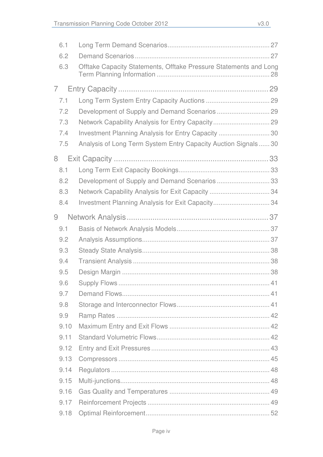| 6.1  |                                                                   |
|------|-------------------------------------------------------------------|
| 6.2  |                                                                   |
| 6.3  | Offtake Capacity Statements, Offtake Pressure Statements and Long |
| 7    |                                                                   |
| 7.1  |                                                                   |
| 7.2  | Development of Supply and Demand Scenarios  29                    |
| 7.3  | Network Capability Analysis for Entry Capacity 29                 |
| 7.4  | Investment Planning Analysis for Entry Capacity 30                |
| 7.5  | Analysis of Long Term System Entry Capacity Auction Signals30     |
| 8    |                                                                   |
| 8.1  |                                                                   |
| 8.2  | Development of Supply and Demand Scenarios  33                    |
| 8.3  | Network Capability Analysis for Exit Capacity  34                 |
| 8.4  | Investment Planning Analysis for Exit Capacity34                  |
| 9    |                                                                   |
| 9.1  |                                                                   |
| 9.2  |                                                                   |
| 9.3  |                                                                   |
| 9.4  |                                                                   |
| 9.5  |                                                                   |
| 9.6  |                                                                   |
| 9.7  |                                                                   |
| 9.8  |                                                                   |
| 9.9  |                                                                   |
| 9.10 |                                                                   |
| 9.11 |                                                                   |
| 9.12 |                                                                   |
| 9.13 |                                                                   |
| 9.14 |                                                                   |
| 9.15 |                                                                   |
| 9.16 |                                                                   |
| 9.17 |                                                                   |
| 9.18 |                                                                   |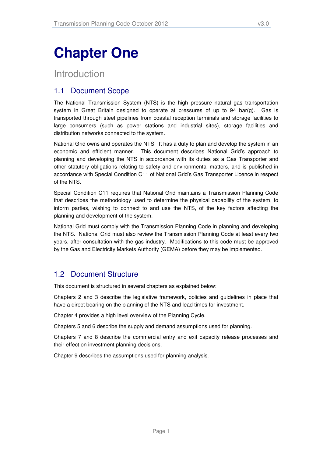# **Chapter One**

## Introduction

## 1.1 Document Scope

The National Transmission System (NTS) is the high pressure natural gas transportation system in Great Britain designed to operate at pressures of up to 94 bar(g). Gas is transported through steel pipelines from coastal reception terminals and storage facilities to large consumers (such as power stations and industrial sites), storage facilities and distribution networks connected to the system.

National Grid owns and operates the NTS. It has a duty to plan and develop the system in an economic and efficient manner. This document describes National Grid's approach to planning and developing the NTS in accordance with its duties as a Gas Transporter and other statutory obligations relating to safety and environmental matters, and is published in accordance with Special Condition C11 of National Grid's Gas Transporter Licence in respect of the NTS.

Special Condition C11 requires that National Grid maintains a Transmission Planning Code that describes the methodology used to determine the physical capability of the system, to inform parties, wishing to connect to and use the NTS, of the key factors affecting the planning and development of the system.

National Grid must comply with the Transmission Planning Code in planning and developing the NTS. National Grid must also review the Transmission Planning Code at least every two years, after consultation with the gas industry. Modifications to this code must be approved by the Gas and Electricity Markets Authority (GEMA) before they may be implemented.

## 1.2 Document Structure

This document is structured in several chapters as explained below:

Chapters 2 and 3 describe the legislative framework, policies and guidelines in place that have a direct bearing on the planning of the NTS and lead times for investment.

Chapter 4 provides a high level overview of the Planning Cycle.

Chapters 5 and 6 describe the supply and demand assumptions used for planning.

Chapters 7 and 8 describe the commercial entry and exit capacity release processes and their effect on investment planning decisions.

Chapter 9 describes the assumptions used for planning analysis.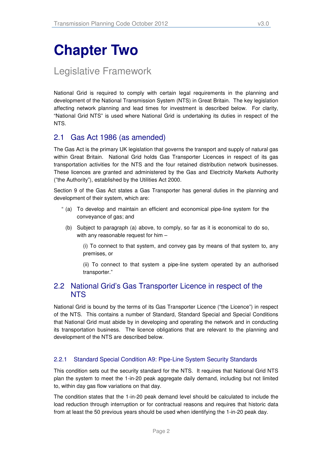## **Chapter Two**

## Legislative Framework

National Grid is required to comply with certain legal requirements in the planning and development of the National Transmission System (NTS) in Great Britain. The key legislation affecting network planning and lead times for investment is described below. For clarity, "National Grid NTS" is used where National Grid is undertaking its duties in respect of the NTS.

### 2.1 Gas Act 1986 (as amended)

The Gas Act is the primary UK legislation that governs the transport and supply of natural gas within Great Britain. National Grid holds Gas Transporter Licences in respect of its gas transportation activities for the NTS and the four retained distribution network businesses. These licences are granted and administered by the Gas and Electricity Markets Authority ("the Authority"), established by the Utilities Act 2000.

Section 9 of the Gas Act states a Gas Transporter has general duties in the planning and development of their system, which are:

- " (a) To develop and maintain an efficient and economical pipe-line system for the conveyance of gas; and
	- (b) Subject to paragraph (a) above, to comply, so far as it is economical to do so, with any reasonable request for him –

(i) To connect to that system, and convey gas by means of that system to, any premises, or

(ii) To connect to that system a pipe-line system operated by an authorised transporter."

### 2.2 National Grid's Gas Transporter Licence in respect of the NTS

National Grid is bound by the terms of its Gas Transporter Licence ("the Licence") in respect of the NTS. This contains a number of Standard, Standard Special and Special Conditions that National Grid must abide by in developing and operating the network and in conducting its transportation business. The licence obligations that are relevant to the planning and development of the NTS are described below.

#### 2.2.1 Standard Special Condition A9: Pipe-Line System Security Standards

This condition sets out the security standard for the NTS. It requires that National Grid NTS plan the system to meet the 1-in-20 peak aggregate daily demand, including but not limited to, within day gas flow variations on that day.

The condition states that the 1-in-20 peak demand level should be calculated to include the load reduction through interruption or for contractual reasons and requires that historic data from at least the 50 previous years should be used when identifying the 1-in-20 peak day.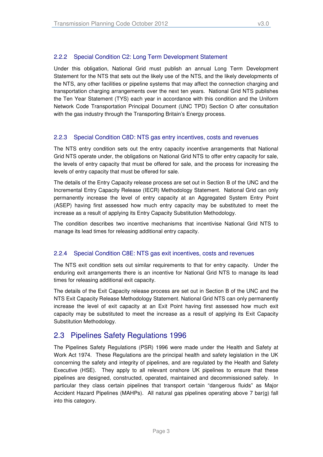#### 2.2.2 Special Condition C2: Long Term Development Statement

Under this obligation, National Grid must publish an annual Long Term Development Statement for the NTS that sets out the likely use of the NTS, and the likely developments of the NTS, any other facilities or pipeline systems that may affect the connection charging and transportation charging arrangements over the next ten years. National Grid NTS publishes the Ten Year Statement (TYS) each year in accordance with this condition and the Uniform Network Code Transportation Principal Document (UNC TPD) Section O after consultation with the gas industry through the Transporting Britain's Energy process.

#### 2.2.3 Special Condition C8D: NTS gas entry incentives, costs and revenues

The NTS entry condition sets out the entry capacity incentive arrangements that National Grid NTS operate under, the obligations on National Grid NTS to offer entry capacity for sale, the levels of entry capacity that must be offered for sale, and the process for increasing the levels of entry capacity that must be offered for sale.

The details of the Entry Capacity release process are set out in Section B of the UNC and the Incremental Entry Capacity Release (IECR) Methodology Statement. National Grid can only permanently increase the level of entry capacity at an Aggregated System Entry Point (ASEP) having first assessed how much entry capacity may be substituted to meet the increase as a result of applying its Entry Capacity Substitution Methodology.

The condition describes two incentive mechanisms that incentivise National Grid NTS to manage its lead times for releasing additional entry capacity.

#### 2.2.4 Special Condition C8E: NTS gas exit incentives, costs and revenues

The NTS exit condition sets out similar requirements to that for entry capacity. Under the enduring exit arrangements there is an incentive for National Grid NTS to manage its lead times for releasing additional exit capacity.

The details of the Exit Capacity release process are set out in Section B of the UNC and the NTS Exit Capacity Release Methodology Statement. National Grid NTS can only permanently increase the level of exit capacity at an Exit Point having first assessed how much exit capacity may be substituted to meet the increase as a result of applying its Exit Capacity Substitution Methodology.

### 2.3 Pipelines Safety Regulations 1996

The Pipelines Safety Regulations (PSR) 1996 were made under the Health and Safety at Work Act 1974. These Regulations are the principal health and safety legislation in the UK concerning the safety and integrity of pipelines, and are regulated by the Health and Safety Executive (HSE). They apply to all relevant onshore UK pipelines to ensure that these pipelines are designed, constructed, operated, maintained and decommissioned safely. In particular they class certain pipelines that transport certain "dangerous fluids" as Major Accident Hazard Pipelines (MAHPs). All natural gas pipelines operating above 7 bar(g) fall into this category.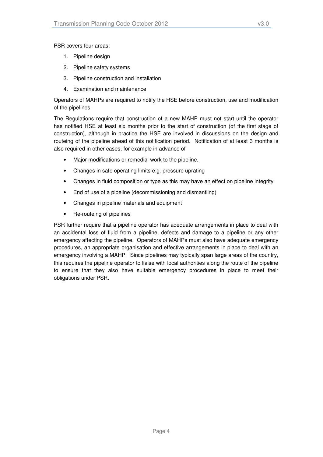PSR covers four areas:

- 1. Pipeline design
- 2. Pipeline safety systems
- 3. Pipeline construction and installation
- 4. Examination and maintenance

Operators of MAHPs are required to notify the HSE before construction, use and modification of the pipelines.

The Regulations require that construction of a new MAHP must not start until the operator has notified HSE at least six months prior to the start of construction (of the first stage of construction), although in practice the HSE are involved in discussions on the design and routeing of the pipeline ahead of this notification period. Notification of at least 3 months is also required in other cases, for example in advance of

- Major modifications or remedial work to the pipeline.
- Changes in safe operating limits e.g. pressure uprating
- Changes in fluid composition or type as this may have an effect on pipeline integrity
- End of use of a pipeline (decommissioning and dismantling)
- Changes in pipeline materials and equipment
- Re-routeing of pipelines

PSR further require that a pipeline operator has adequate arrangements in place to deal with an accidental loss of fluid from a pipeline, defects and damage to a pipeline or any other emergency affecting the pipeline. Operators of MAHPs must also have adequate emergency procedures, an appropriate organisation and effective arrangements in place to deal with an emergency involving a MAHP. Since pipelines may typically span large areas of the country, this requires the pipeline operator to liaise with local authorities along the route of the pipeline to ensure that they also have suitable emergency procedures in place to meet their obligations under PSR.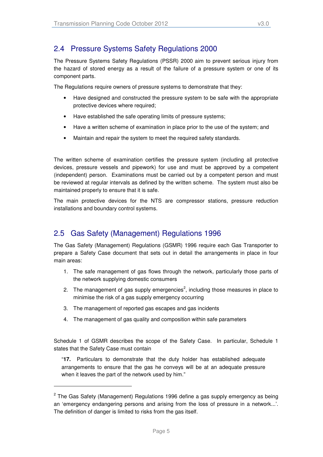### 2.4 Pressure Systems Safety Regulations 2000

The Pressure Systems Safety Regulations (PSSR) 2000 aim to prevent serious injury from the hazard of stored energy as a result of the failure of a pressure system or one of its component parts.

The Regulations require owners of pressure systems to demonstrate that they:

- Have designed and constructed the pressure system to be safe with the appropriate protective devices where required;
- Have established the safe operating limits of pressure systems;
- Have a written scheme of examination in place prior to the use of the system; and
- Maintain and repair the system to meet the required safety standards.

The written scheme of examination certifies the pressure system (including all protective devices, pressure vessels and pipework) for use and must be approved by a competent (independent) person. Examinations must be carried out by a competent person and must be reviewed at regular intervals as defined by the written scheme. The system must also be maintained properly to ensure that it is safe.

The main protective devices for the NTS are compressor stations, pressure reduction installations and boundary control systems.

## 2.5 Gas Safety (Management) Regulations 1996

The Gas Safety (Management) Regulations (GSMR) 1996 require each Gas Transporter to prepare a Safety Case document that sets out in detail the arrangements in place in four main areas:

- 1. The safe management of gas flows through the network, particularly those parts of the network supplying domestic consumers
- 2. The management of gas supply emergencies<sup>2</sup>, including those measures in place to minimise the risk of a gas supply emergency occurring
- 3. The management of reported gas escapes and gas incidents

l

4. The management of gas quality and composition within safe parameters

Schedule 1 of GSMR describes the scope of the Safety Case. In particular, Schedule 1 states that the Safety Case must contain

"**17.** Particulars to demonstrate that the duty holder has established adequate arrangements to ensure that the gas he conveys will be at an adequate pressure when it leaves the part of the network used by him."

 $2$  The Gas Safety (Management) Regulations 1996 define a gas supply emergency as being an 'emergency endangering persons and arising from the loss of pressure in a network...'. The definition of danger is limited to risks from the gas itself.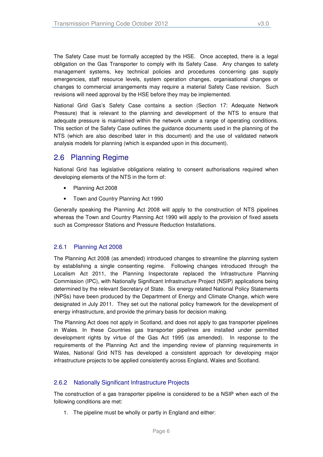The Safety Case must be formally accepted by the HSE. Once accepted, there is a legal obligation on the Gas Transporter to comply with its Safety Case. Any changes to safety management systems, key technical policies and procedures concerning gas supply emergencies, staff resource levels, system operation changes, organisational changes or changes to commercial arrangements may require a material Safety Case revision. Such revisions will need approval by the HSE before they may be implemented.

National Grid Gas's Safety Case contains a section (Section 17: Adequate Network Pressure) that is relevant to the planning and development of the NTS to ensure that adequate pressure is maintained within the network under a range of operating conditions. This section of the Safety Case outlines the guidance documents used in the planning of the NTS (which are also described later in this document) and the use of validated network analysis models for planning (which is expanded upon in this document).

## 2.6 Planning Regime

National Grid has legislative obligations relating to consent authorisations required when developing elements of the NTS in the form of:

- Planning Act 2008
- Town and Country Planning Act 1990

Generally speaking the Planning Act 2008 will apply to the construction of NTS pipelines whereas the Town and Country Planning Act 1990 will apply to the provision of fixed assets such as Compressor Stations and Pressure Reduction Installations.

#### 2.6.1 Planning Act 2008

The Planning Act 2008 (as amended) introduced changes to streamline the planning system by establishing a single consenting regime. Following changes introduced through the Localism Act 2011, the Planning Inspectorate replaced the Infrastructure Planning Commission (IPC), with Nationally Significant Infrastructure Project (NSIP) applications being determined by the relevant Secretary of State. Six energy related National Policy Statements (NPSs) have been produced by the Department of Energy and Climate Change, which were designated in July 2011. They set out the national policy framework for the development of energy infrastructure, and provide the primary basis for decision making.

The Planning Act does not apply in Scotland, and does not apply to gas transporter pipelines in Wales. In these Countries gas transporter pipelines are installed under permitted development rights by virtue of the Gas Act 1995 (as amended). In response to the requirements of the Planning Act and the impending review of planning requirements in Wales, National Grid NTS has developed a consistent approach for developing major infrastructure projects to be applied consistently across England, Wales and Scotland.

#### 2.6.2 Nationally Significant Infrastructure Projects

The construction of a gas transporter pipeline is considered to be a NSIP when each of the following conditions are met:

1. The pipeline must be wholly or partly in England and either: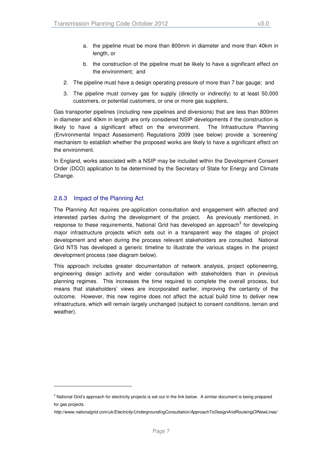- a. the pipeline must be more than 800mm in diameter and more than 40km in length, or
- b. the construction of the pipeline must be likely to have a significant effect on the environment; and
- 2. The pipeline must have a design operating pressure of more than 7 bar gauge; and
- 3. The pipeline must convey gas for supply (directly or indirectly) to at least 50,000 customers, or potential customers, or one or more gas suppliers.

Gas transporter pipelines (including new pipelines and diversions) that are less than 800mm in diameter and 40km in length are only considered NSIP developments if the construction is likely to have a significant effect on the environment. The Infrastructure Planning (Environmental Impact Assessment) Regulations 2009 (see below) provide a 'screening' mechanism to establish whether the proposed works are likely to have a significant effect on the environment.

In England, works associated with a NSIP may be included within the Development Consent Order (DCO) application to be determined by the Secretary of State for Energy and Climate Change.

#### 2.6.3 Impact of the Planning Act

l

The Planning Act requires pre-application consultation and engagement with affected and interested parties during the development of the project. As previously mentioned, in response to these requirements, National Grid has developed an approach $3$  for developing major infrastructure projects which sets out in a transparent way the stages of project development and when during the process relevant stakeholders are consulted. National Grid NTS has developed a generic timeline to illustrate the various stages in the project development process (see diagram below).

This approach includes greater documentation of network analysis, project optioneering, engineering design activity and wider consultation with stakeholders than in previous planning regimes. This increases the time required to complete the overall process, but means that stakeholders' views are incorporated earlier, improving the certainty of the outcome. However, this new regime does not affect the actual build time to deliver new infrastructure, which will remain largely unchanged (subject to consent conditions, terrain and weather).

<sup>&</sup>lt;sup>3</sup> National Grid's approach for electricity projects is set out in the link below. A similar document is being prepared for gas projects.

http://www.nationalgrid.com/uk/Electricity/UndergroundingConsultation/ApproachToDesignAndRouteingOfNewLines/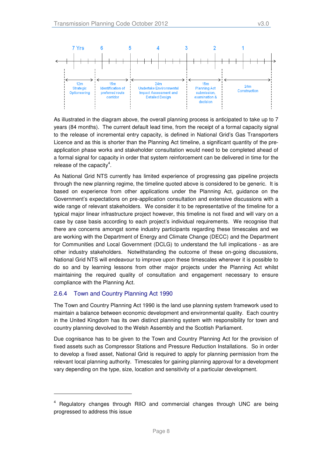

As illustrated in the diagram above, the overall planning process is anticipated to take up to 7 years (84 months). The current default lead time, from the receipt of a formal capacity signal to the release of incremental entry capacity, is defined in National Grid's Gas Transporters Licence and as this is shorter than the Planning Act timeline, a significant quantity of the preapplication phase works and stakeholder consultation would need to be completed ahead of a formal signal for capacity in order that system reinforcement can be delivered in time for the release of the capacity<sup>4</sup>.

As National Grid NTS currently has limited experience of progressing gas pipeline projects through the new planning regime, the timeline quoted above is considered to be generic. It is based on experience from other applications under the Planning Act, guidance on the Government's expectations on pre-application consultation and extensive discussions with a wide range of relevant stakeholders. We consider it to be representative of the timeline for a typical major linear infrastructure project however, this timeline is not fixed and will vary on a case by case basis according to each project's individual requirements. We recognise that there are concerns amongst some industry participants regarding these timescales and we are working with the Department of Energy and Climate Change (DECC) and the Department for Communities and Local Government (DCLG) to understand the full implications - as are other industry stakeholders. Notwithstanding the outcome of these on-going discussions, National Grid NTS will endeavour to improve upon these timescales wherever it is possible to do so and by learning lessons from other major projects under the Planning Act whilst maintaining the required quality of consultation and engagement necessary to ensure compliance with the Planning Act.

#### 2.6.4 Town and Country Planning Act 1990

-

The Town and Country Planning Act 1990 is the land use planning system framework used to maintain a balance between economic development and environmental quality. Each country in the United Kingdom has its own distinct planning system with responsibility for town and country planning devolved to the Welsh Assembly and the Scottish Parliament.

Due cognisance has to be given to the Town and Country Planning Act for the provision of fixed assets such as Compressor Stations and Pressure Reduction Installations. So in order to develop a fixed asset, National Grid is required to apply for planning permission from the relevant local planning authority. Timescales for gaining planning approval for a development vary depending on the type, size, location and sensitivity of a particular development.

<sup>4</sup> Regulatory changes through RIIO and commercial changes through UNC are being progressed to address this issue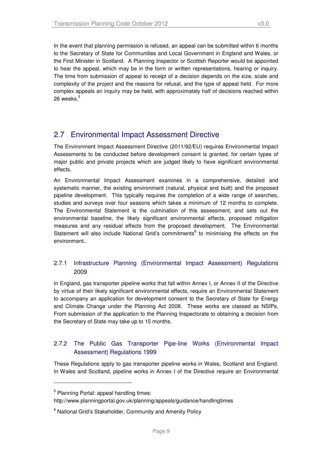In the event that planning permission is refused, an appeal can be submitted within 6 months to the Secretary of State for Communities and Local Government in England and Wales, or the First Minister in Scotland. A Planning Inspector or Scottish Reporter would be appointed to hear the appeal, which may be in the form or written representations, hearing or inquiry. The time from submission of appeal to receipt of a decision depends on the size, scale and complexity of the project and the reasons for refusal, and the type of appeal held. For more complex appeals an inquiry may be held, with approximately half of decisions reached within 26 weeks. $^{\rm 5}$ 

### 2.7 Environmental Impact Assessment Directive

The Environment Impact Assessment Directive (2011/92/EU) requires Environmental Impact Assessments to be conducted before development consent is granted, for certain types of major public and private projects which are judged likely to have significant environmental effects.

An Environmental Impact Assessment examines in a comprehensive, detailed and systematic manner, the existing environment (natural, physical and built) and the proposed pipeline development. This typically requires the completion of a wide range of searches, studies and surveys over four seasons which takes a minimum of 12 months to complete. The Environmental Statement is the culmination of this assessment, and sets out the environmental baseline, the likely significant environmental effects, proposed mitigation measures and any residual effects from the proposed development. The Environmental Statement will also include National Grid's commitments<sup>6</sup> to minimising the effects on the environment..

#### 2.7.1 Infrastructure Planning (Environmental Impact Assessment) Regulations 2009

In England, gas transporter pipeline works that fall within Annex I, or Annex II of the Directive by virtue of their likely significant environmental effects, require an Environmental Statement to accompany an application for development consent to the Secretary of State for Energy and Climate Change under the Planning Act 2008. These works are classed as NSIPs. From submission of the application to the Planning Inspectorate to obtaining a decision from the Secretary of State may take up to 15 months.

#### 2.7.2 The Public Gas Transporter Pipe-line Works (Environmental Impact Assessment) Regulations 1999

These Regulations apply to gas transporter pipeline works in Wales, Scotland and England. In Wales and Scotland, pipeline works in Annex I of the Directive require an Environmental

l

<sup>&</sup>lt;sup>5</sup> Planning Portal: appeal handling times:

http://www.planningportal.gov.uk/planning/appeals/guidance/handlingtimes

<sup>&</sup>lt;sup>6</sup> National Grid's Stakeholder, Community and Amenity Policy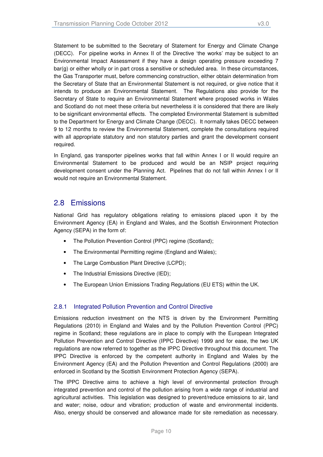Statement to be submitted to the Secretary of Statement for Energy and Climate Change (DECC). For pipeline works in Annex II of the Directive 'the works' may be subject to an Environmental Impact Assessment if they have a design operating pressure exceeding 7 bar(g) or either wholly or in part cross a sensitive or scheduled area. In these circumstances, the Gas Transporter must, before commencing construction, either obtain determination from the Secretary of State that an Environmental Statement is not required, or give notice that it intends to produce an Environmental Statement. The Regulations also provide for the Secretary of State to require an Environmental Statement where proposed works in Wales and Scotland do not meet these criteria but nevertheless it is considered that there are likely to be significant environmental effects. The completed Environmental Statement is submitted to the Department for Energy and Climate Change (DECC). It normally takes DECC between 9 to 12 months to review the Environmental Statement, complete the consultations required with all appropriate statutory and non statutory parties and grant the development consent required.

In England, gas transporter pipelines works that fall within Annex I or II would require an Environmental Statement to be produced and would be an NSIP project requiring development consent under the Planning Act. Pipelines that do not fall within Annex I or II would not require an Environmental Statement.

### 2.8 Emissions

National Grid has regulatory obligations relating to emissions placed upon it by the Environment Agency (EA) in England and Wales, and the Scottish Environment Protection Agency (SEPA) in the form of:

- The Pollution Prevention Control (PPC) regime (Scotland);
- The Environmental Permitting regime (England and Wales);
- The Large Combustion Plant Directive (LCPD);
- The Industrial Emissions Directive (IED);
- The European Union Emissions Trading Regulations (EU ETS) within the UK.

#### 2.8.1 Integrated Pollution Prevention and Control Directive

Emissions reduction investment on the NTS is driven by the Environment Permitting Regulations (2010) in England and Wales and by the Pollution Prevention Control (PPC) regime in Scotland; these regulations are in place to comply with the European Integrated Pollution Prevention and Control Directive (IPPC Directive) 1999 and for ease, the two UK regulations are now referred to together as the IPPC Directive throughout this document. The IPPC Directive is enforced by the competent authority in England and Wales by the Environment Agency (EA) and the Pollution Prevention and Control Regulations (2000) are enforced in Scotland by the Scottish Environment Protection Agency (SEPA).

The IPPC Directive aims to achieve a high level of environmental protection through integrated prevention and control of the pollution arising from a wide range of industrial and agricultural activities. This legislation was designed to prevent/reduce emissions to air, land and water; noise, odour and vibration; production of waste and environmental incidents. Also, energy should be conserved and allowance made for site remediation as necessary.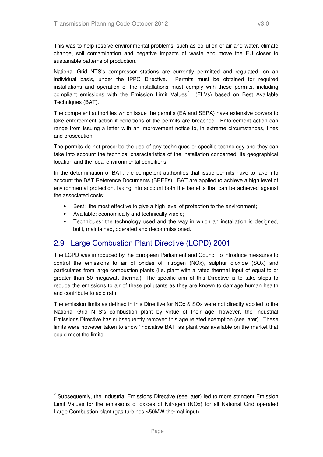This was to help resolve environmental problems, such as pollution of air and water, climate change, soil contamination and negative impacts of waste and move the EU closer to sustainable patterns of production.

National Grid NTS's compressor stations are currently permitted and regulated, on an individual basis, under the IPPC Directive. Permits must be obtained for required installations and operation of the installations must comply with these permits, including compliant emissions with the Emission Limit Values<sup>7</sup> (ELVs) based on Best Available Techniques (BAT).

The competent authorities which issue the permits (EA and SEPA) have extensive powers to take enforcement action if conditions of the permits are breached. Enforcement action can range from issuing a letter with an improvement notice to, in extreme circumstances, fines and prosecution.

The permits do not prescribe the use of any techniques or specific technology and they can take into account the technical characteristics of the installation concerned, its geographical location and the local environmental conditions.

In the determination of BAT, the competent authorities that issue permits have to take into account the BAT Reference Documents (BREFs). BAT are applied to achieve a high level of environmental protection, taking into account both the benefits that can be achieved against the associated costs:

- Best: the most effective to give a high level of protection to the environment;
- Available: economically and technically viable;

l

• Techniques: the technology used and the way in which an installation is designed, built, maintained, operated and decommissioned.

## 2.9 Large Combustion Plant Directive (LCPD) 2001

The LCPD was introduced by the European Parliament and Council to introduce measures to control the emissions to air of oxides of nitrogen (NOx), sulphur dioxide (SOx) and particulates from large combustion plants (i.e. plant with a rated thermal input of equal to or greater than 50 megawatt thermal). The specific aim of this Directive is to take steps to reduce the emissions to air of these pollutants as they are known to damage human health and contribute to acid rain.

The emission limits as defined in this Directive for NOx & SOx were not directly applied to the National Grid NTS's combustion plant by virtue of their age, however, the Industrial Emissions Directive has subsequently removed this age related exemption (see later). These limits were however taken to show 'indicative BAT' as plant was available on the market that could meet the limits.

 $7$  Subsequently, the Industrial Emissions Directive (see later) led to more stringent Emission Limit Values for the emissions of oxides of Nitrogen (NOx) for all National Grid operated Large Combustion plant (gas turbines >50MW thermal input)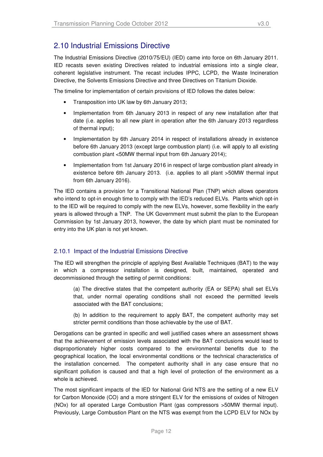## 2.10 Industrial Emissions Directive

The Industrial Emissions Directive (2010/75/EU) (IED) came into force on 6th January 2011. IED recasts seven existing Directives related to industrial emissions into a single clear, coherent legislative instrument. The recast includes IPPC, LCPD, the Waste Incineration Directive, the Solvents Emissions Directive and three Directives on Titanium Dioxide.

The timeline for implementation of certain provisions of IED follows the dates below:

- Transposition into UK law by 6th January 2013;
- Implementation from 6th January 2013 in respect of any new installation after that date (i.e. applies to all new plant in operation after the 6th January 2013 regardless of thermal input);
- Implementation by 6th January 2014 in respect of installations already in existence before 6th January 2013 (except large combustion plant) (i.e. will apply to all existing combustion plant <50MW thermal input from 6th January 2014);
- Implementation from 1st January 2016 in respect of large combustion plant already in existence before 6th January 2013. (i.e. applies to all plant >50MW thermal input from 6th January 2016).

The IED contains a provision for a Transitional National Plan (TNP) which allows operators who intend to opt-in enough time to comply with the IED's reduced ELVs. Plants which opt-in to the IED will be required to comply with the new ELVs, however, some flexibility in the early years is allowed through a TNP. The UK Government must submit the plan to the European Commission by 1st January 2013, however, the date by which plant must be nominated for entry into the UK plan is not yet known.

#### 2.10.1 Impact of the Industrial Emissions Directive

The IED will strengthen the principle of applying Best Available Techniques (BAT) to the way in which a compressor installation is designed, built, maintained, operated and decommissioned through the setting of permit conditions:

(a) The directive states that the competent authority (EA or SEPA) shall set ELVs that, under normal operating conditions shall not exceed the permitted levels associated with the BAT conclusions;

(b) In addition to the requirement to apply BAT, the competent authority may set stricter permit conditions than those achievable by the use of BAT.

Derogations can be granted in specific and well justified cases where an assessment shows that the achievement of emission levels associated with the BAT conclusions would lead to disproportionately higher costs compared to the environmental benefits due to the geographical location, the local environmental conditions or the technical characteristics of the installation concerned. The competent authority shall in any case ensure that no significant pollution is caused and that a high level of protection of the environment as a whole is achieved.

The most significant impacts of the IED for National Grid NTS are the setting of a new ELV for Carbon Monoxide (CO) and a more stringent ELV for the emissions of oxides of Nitrogen (NOx) for all operated Large Combustion Plant (gas compressors >50MW thermal input). Previously, Large Combustion Plant on the NTS was exempt from the LCPD ELV for NOx by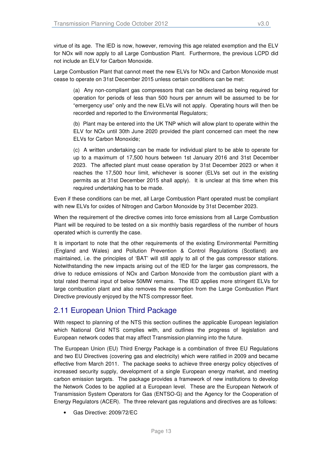virtue of its age. The IED is now, however, removing this age related exemption and the ELV for NOx will now apply to all Large Combustion Plant. Furthermore, the previous LCPD did not include an ELV for Carbon Monoxide.

Large Combustion Plant that cannot meet the new ELVs for NOx and Carbon Monoxide must cease to operate on 31st December 2015 unless certain conditions can be met:

(a) Any non-compliant gas compressors that can be declared as being required for operation for periods of less than 500 hours per annum will be assumed to be for "emergency use" only and the new ELVs will not apply. Operating hours will then be recorded and reported to the Environmental Regulators;

(b) Plant may be entered into the UK TNP which will allow plant to operate within the ELV for NOx until 30th June 2020 provided the plant concerned can meet the new ELVs for Carbon Monoxide;

(c) A written undertaking can be made for individual plant to be able to operate for up to a maximum of 17,500 hours between 1st January 2016 and 31st December 2023. The affected plant must cease operation by 31st December 2023 or when it reaches the 17,500 hour limit, whichever is sooner (ELVs set out in the existing permits as at 31st December 2015 shall apply). It is unclear at this time when this required undertaking has to be made.

Even if these conditions can be met, all Large Combustion Plant operated must be compliant with new ELVs for oxides of Nitrogen and Carbon Monoxide by 31st December 2023.

When the requirement of the directive comes into force emissions from all Large Combustion Plant will be required to be tested on a six monthly basis regardless of the number of hours operated which is currently the case.

It is important to note that the other requirements of the existing Environmental Permitting (England and Wales) and Pollution Prevention & Control Regulations (Scotland) are maintained, i.e. the principles of 'BAT' will still apply to all of the gas compressor stations. Notwithstanding the new impacts arising out of the IED for the larger gas compressors, the drive to reduce emissions of NOx and Carbon Monoxide from the combustion plant with a total rated thermal input of below 50MW remains. The IED applies more stringent ELVs for large combustion plant and also removes the exemption from the Large Combustion Plant Directive previously enjoyed by the NTS compressor fleet.

## 2.11 European Union Third Package

With respect to planning of the NTS this section outlines the applicable European legislation which National Grid NTS complies with, and outlines the progress of legislation and European network codes that may affect Transmission planning into the future.

The European Union (EU) Third Energy Package is a combination of three EU Regulations and two EU Directives (covering gas and electricity) which were ratified in 2009 and became effective from March 2011. The package seeks to achieve three energy policy objectives of increased security supply, development of a single European energy market, and meeting carbon emission targets. The package provides a framework of new institutions to develop the Network Codes to be applied at a European level. These are the European Network of Transmission System Operators for Gas (ENTSO-G) and the Agency for the Cooperation of Energy Regulators (ACER). The three relevant gas regulations and directives are as follows:

• Gas Directive: 2009/72/EC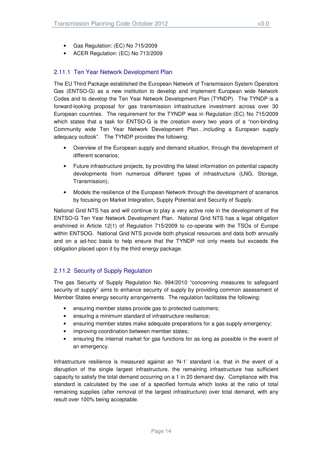- Gas Regulation: (EC) No 715/2009
- ACER Regulation: (EC) No 713/2009

#### 2.11.1 Ten Year Network Development Plan

The EU Third Package established the European Network of Transmission System Operators Gas (ENTSO-G) as a new institution to develop and implement European wide Network Codes and to develop the Ten Year Network Development Plan (TYNDP). The TYNDP is a forward-looking proposal for gas transmission infrastructure investment across over 30 European countries. The requirement for the TYNDP was in Regulation (EC) No 715/2009 which states that a task for ENTSO-G is the creation every two years of a "non-binding Community wide Ten Year Network Development Plan…including a European supply adequacy outlook". The TYNDP provides the following:

- Overview of the European supply and demand situation, through the development of different scenarios;
- Future infrastructure projects, by providing the latest information on potential capacity developments from numerous different types of infrastructure (LNG, Storage, Transmission);
- Models the resilience of the European Network through the development of scenarios by focusing on Market Integration, Supply Potential and Security of Supply.

National Grid NTS has and will continue to play a very active role in the development of the ENTSO-G Ten Year Network Development Plan. National Grid NTS has a legal obligation enshrined in Article 12(1) of Regulation 715/2009 to co-operate with the TSOs of Europe within ENTSOG. National Grid NTS provide both physical resources and data both annually and on a ad-hoc basis to help ensure that the TYNDP not only meets but exceeds the obligation placed upon it by the third energy package.

#### 2.11.2 Security of Supply Regulation

The gas Security of Supply Regulation No. 994/2010 "concerning measures to safeguard security of supply" aims to enhance security of supply by providing common assessment of Member States energy security arrangements. The regulation facilitates the following:

- ensuring member states provide gas to protected customers;
- ensuring a minimum standard of infrastructure resilience;
- ensuring member states make adequate preparations for a gas supply emergency;
- improving coordination between member states;
- ensuring the internal market for gas functions for as long as possible in the event of an emergency.

Infrastructure resilience is measured against an 'N-1' standard i.e. that in the event of a disruption of the single largest infrastructure, the remaining infrastructure has sufficient capacity to satisfy the total demand occurring on a 1 in 20 demand day. Compliance with this standard is calculated by the use of a specified formula which looks at the ratio of total remaining supplies (after removal of the largest infrastructure) over total demand, with any result over 100% being acceptable.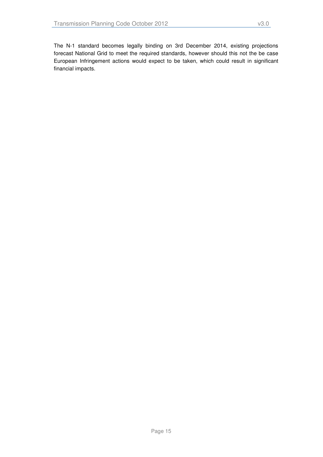The N-1 standard becomes legally binding on 3rd December 2014, existing projections forecast National Grid to meet the required standards, however should this not the be case European Infringement actions would expect to be taken, which could result in significant financial impacts.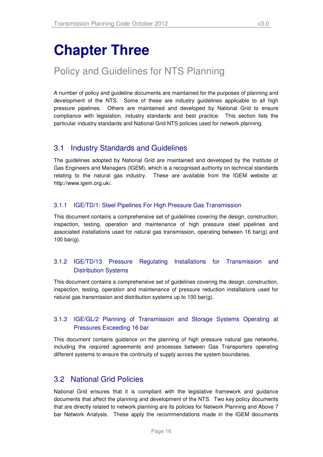# **Chapter Three**

## Policy and Guidelines for NTS Planning

A number of policy and guideline documents are maintained for the purposes of planning and development of the NTS. Some of these are industry guidelines applicable to all high pressure pipelines. Others are maintained and developed by National Grid to ensure compliance with legislation, industry standards and best practice. This section lists the particular industry standards and National Grid NTS policies used for network planning.

### 3.1 Industry Standards and Guidelines

The guidelines adopted by National Grid are maintained and developed by the Institute of Gas Engineers and Managers (IGEM), which is a recognised authority on technical standards relating to the natural gas industry. These are available from the IGEM website at: http://www.igem.org.uk/.

#### 3.1.1 IGE/TD/1: Steel Pipelines For High Pressure Gas Transmission

This document contains a comprehensive set of guidelines covering the design, construction, inspection, testing, operation and maintenance of high pressure steel pipelines and associated installations used for natural gas transmission, operating between 16 bar(g) and 100 bar(g).

#### 3.1.2 IGE/TD/13 Pressure Regulating Installations for Transmission and Distribution Systems

This document contains a comprehensive set of guidelines covering the design, construction, inspection, testing, operation and maintenance of pressure reduction installations used for natural gas transmission and distribution systems up to 100 bar(g).

#### 3.1.3 IGE/GL/2 Planning of Transmission and Storage Systems Operating at Pressures Exceeding 16 bar

This document contains guidance on the planning of high pressure natural gas networks, including the required agreements and processes between Gas Transporters operating different systems to ensure the continuity of supply across the system boundaries.

### 3.2 National Grid Policies

National Grid ensures that it is compliant with the legislative framework and guidance documents that affect the planning and development of the NTS. Two key policy documents that are directly related to network planning are its policies for Network Planning and Above 7 bar Network Analysis. These apply the recommendations made in the IGEM documents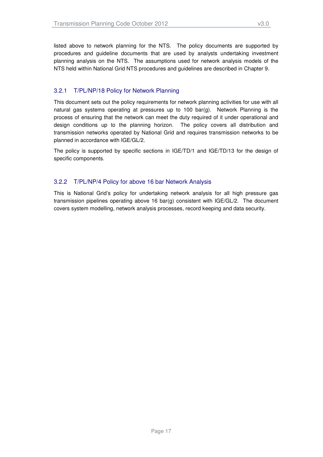#### 3.2.1 T/PL/NP/18 Policy for Network Planning

This document sets out the policy requirements for network planning activities for use with all natural gas systems operating at pressures up to 100 bar(g). Network Planning is the process of ensuring that the network can meet the duty required of it under operational and design conditions up to the planning horizon. The policy covers all distribution and transmission networks operated by National Grid and requires transmission networks to be planned in accordance with IGE/GL/2.

The policy is supported by specific sections in IGE/TD/1 and IGE/TD/13 for the design of specific components.

#### 3.2.2 T/PL/NP/4 Policy for above 16 bar Network Analysis

This is National Grid's policy for undertaking network analysis for all high pressure gas transmission pipelines operating above 16 bar(g) consistent with IGE/GL/2. The document covers system modelling, network analysis processes, record keeping and data security.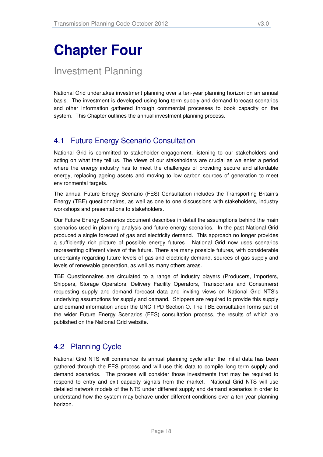# **Chapter Four**

Investment Planning

National Grid undertakes investment planning over a ten-year planning horizon on an annual basis. The investment is developed using long term supply and demand forecast scenarios and other information gathered through commercial processes to book capacity on the system. This Chapter outlines the annual investment planning process.

## 4.1 Future Energy Scenario Consultation

National Grid is committed to stakeholder engagement, listening to our stakeholders and acting on what they tell us. The views of our stakeholders are crucial as we enter a period where the energy industry has to meet the challenges of providing secure and affordable energy, replacing ageing assets and moving to low carbon sources of generation to meet environmental targets.

The annual Future Energy Scenario (FES) Consultation includes the Transporting Britain's Energy (TBE) questionnaires, as well as one to one discussions with stakeholders, industry workshops and presentations to stakeholders.

Our Future Energy Scenarios document describes in detail the assumptions behind the main scenarios used in planning analysis and future energy scenarios. In the past National Grid produced a single forecast of gas and electricity demand. This approach no longer provides a sufficiently rich picture of possible energy futures. National Grid now uses scenarios representing different views of the future. There are many possible futures, with considerable uncertainty regarding future levels of gas and electricity demand, sources of gas supply and levels of renewable generation, as well as many others areas.

TBE Questionnaires are circulated to a range of industry players (Producers, Importers, Shippers, Storage Operators, Delivery Facility Operators, Transporters and Consumers) requesting supply and demand forecast data and inviting views on National Grid NTS's underlying assumptions for supply and demand. Shippers are required to provide this supply and demand information under the UNC TPD Section O. The TBE consultation forms part of the wider Future Energy Scenarios (FES) consultation process, the results of which are published on the National Grid website.

## 4.2 Planning Cycle

National Grid NTS will commence its annual planning cycle after the initial data has been gathered through the FES process and will use this data to compile long term supply and demand scenarios. The process will consider those investments that may be required to respond to entry and exit capacity signals from the market. National Grid NTS will use detailed network models of the NTS under different supply and demand scenarios in order to understand how the system may behave under different conditions over a ten year planning horizon.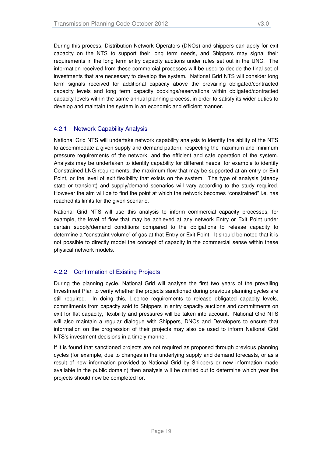During this process, Distribution Network Operators (DNOs) and shippers can apply for exit capacity on the NTS to support their long term needs, and Shippers may signal their requirements in the long term entry capacity auctions under rules set out in the UNC. The information received from these commercial processes will be used to decide the final set of investments that are necessary to develop the system. National Grid NTS will consider long term signals received for additional capacity above the prevailing obligated/contracted capacity levels and long term capacity bookings/reservations within obligated/contracted capacity levels within the same annual planning process, in order to satisfy its wider duties to develop and maintain the system in an economic and efficient manner.

#### 4.2.1 Network Capability Analysis

National Grid NTS will undertake network capability analysis to identify the ability of the NTS to accommodate a given supply and demand pattern, respecting the maximum and minimum pressure requirements of the network, and the efficient and safe operation of the system. Analysis may be undertaken to identify capability for different needs, for example to identify Constrained LNG requirements, the maximum flow that may be supported at an entry or Exit Point, or the level of exit flexibility that exists on the system. The type of analysis (steady state or transient) and supply/demand scenarios will vary according to the study required. However the aim will be to find the point at which the network becomes "constrained" i.e. has reached its limits for the given scenario.

National Grid NTS will use this analysis to inform commercial capacity processes, for example, the level of flow that may be achieved at any network Entry or Exit Point under certain supply/demand conditions compared to the obligations to release capacity to determine a "constraint volume" of gas at that Entry or Exit Point. It should be noted that it is not possible to directly model the concept of capacity in the commercial sense within these physical network models.

#### 4.2.2 Confirmation of Existing Projects

During the planning cycle, National Grid will analyse the first two years of the prevailing Investment Plan to verify whether the projects sanctioned during previous planning cycles are still required. In doing this, Licence requirements to release obligated capacity levels, commitments from capacity sold to Shippers in entry capacity auctions and commitments on exit for flat capacity, flexibility and pressures will be taken into account. National Grid NTS will also maintain a regular dialogue with Shippers, DNOs and Developers to ensure that information on the progression of their projects may also be used to inform National Grid NTS's investment decisions in a timely manner.

If it is found that sanctioned projects are not required as proposed through previous planning cycles (for example, due to changes in the underlying supply and demand forecasts, or as a result of new information provided to National Grid by Shippers or new information made available in the public domain) then analysis will be carried out to determine which year the projects should now be completed for.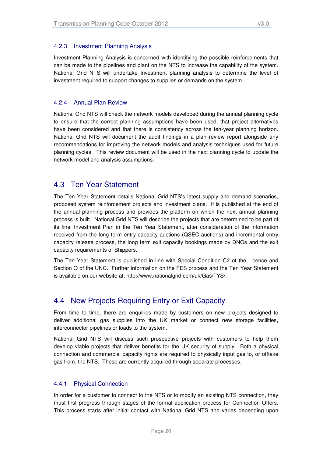#### 4.2.3 Investment Planning Analysis

Investment Planning Analysis is concerned with identifying the possible reinforcements that can be made to the pipelines and plant on the NTS to increase the capability of the system. National Grid NTS will undertake Investment planning analysis to determine the level of investment required to support changes to supplies or demands on the system.

#### 4.2.4 Annual Plan Review

National Grid NTS will check the network models developed during the annual planning cycle to ensure that the correct planning assumptions have been used, that project alternatives have been considered and that there is consistency across the ten-year planning horizon. National Grid NTS will document the audit findings in a plan review report alongside any recommendations for improving the network models and analysis techniques used for future planning cycles. This review document will be used in the next planning cycle to update the network model and analysis assumptions.

#### 4.3 Ten Year Statement

The Ten Year Statement details National Grid NTS's latest supply and demand scenarios, proposed system reinforcement projects and investment plans. It is published at the end of the annual planning process and provides the platform on which the next annual planning process is built. National Grid NTS will describe the projects that are determined to be part of its final Investment Plan in the Ten Year Statement, after consideration of the information received from the long term entry capacity auctions (QSEC auctions) and incremental entry capacity release process, the long term exit capacity bookings made by DNOs and the exit capacity requirements of Shippers.

The Ten Year Statement is published in line with Special Condition C2 of the Licence and Section O of the UNC. Further information on the FES process and the Ten Year Statement is available on our website at: http://www.nationalgrid.com/uk/Gas/TYS/.

### 4.4 New Projects Requiring Entry or Exit Capacity

From time to time, there are enquiries made by customers on new projects designed to deliver additional gas supplies into the UK market or connect new storage facilities, interconnector pipelines or loads to the system.

National Grid NTS will discuss such prospective projects with customers to help them develop viable projects that deliver benefits for the UK security of supply. Both a physical connection and commercial capacity rights are required to physically input gas to, or offtake gas from, the NTS. These are currently acquired through separate processes.

#### 4.4.1 Physical Connection

In order for a customer to connect to the NTS or to modify an existing NTS connection, they must first progress through stages of the formal application process for Connection Offers. This process starts after initial contact with National Grid NTS and varies depending upon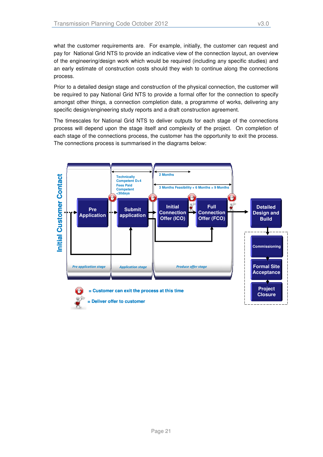what the customer requirements are. For example, initially, the customer can request and pay for National Grid NTS to provide an indicative view of the connection layout, an overview of the engineering/design work which would be required (including any specific studies) and an early estimate of construction costs should they wish to continue along the connections process.

Prior to a detailed design stage and construction of the physical connection, the customer will be required to pay National Grid NTS to provide a formal offer for the connection to specify amongst other things, a connection completion date, a programme of works, delivering any specific design/engineering study reports and a draft construction agreement.

The timescales for National Grid NTS to deliver outputs for each stage of the connections process will depend upon the stage itself and complexity of the project. On completion of each stage of the connections process, the customer has the opportunity to exit the process. The connections process is summarised in the diagrams below:

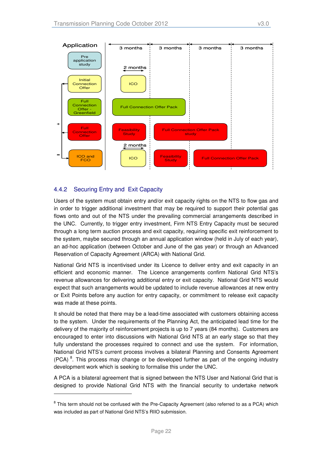

#### 4.4.2 Securing Entry and Exit Capacity

-

Users of the system must obtain entry and/or exit capacity rights on the NTS to flow gas and in order to trigger additional investment that may be required to support their potential gas flows onto and out of the NTS under the prevailing commercial arrangements described in the UNC. Currently, to trigger entry investment, Firm NTS Entry Capacity must be secured through a long term auction process and exit capacity, requiring specific exit reinforcement to the system, maybe secured through an annual application window (held in July of each year), an ad-hoc application (between October and June of the gas year) or through an Advanced Reservation of Capacity Agreement (ARCA) with National Grid.

National Grid NTS is incentivised under its Licence to deliver entry and exit capacity in an efficient and economic manner. The Licence arrangements confirm National Grid NTS's revenue allowances for delivering additional entry or exit capacity. National Grid NTS would expect that such arrangements would be updated to include revenue allowances at new entry or Exit Points before any auction for entry capacity, or commitment to release exit capacity was made at these points.

It should be noted that there may be a lead-time associated with customers obtaining access to the system. Under the requirements of the Planning Act, the anticipated lead time for the delivery of the majority of reinforcement projects is up to 7 years (84 months). Customers are encouraged to enter into discussions with National Grid NTS at an early stage so that they fully understand the processes required to connect and use the system. For information, National Grid NTS's current process involves a bilateral Planning and Consents Agreement  $(PCA)^8$ . This process may change or be developed further as part of the ongoing industry development work which is seeking to formalise this under the UNC.

A PCA is a bilateral agreement that is signed between the NTS User and National Grid that is designed to provide National Grid NTS with the financial security to undertake network

<sup>&</sup>lt;sup>8</sup> This term should not be confused with the Pre-Capacity Agreement (also referred to as a PCA) which was included as part of National Grid NTS's RIIO submission.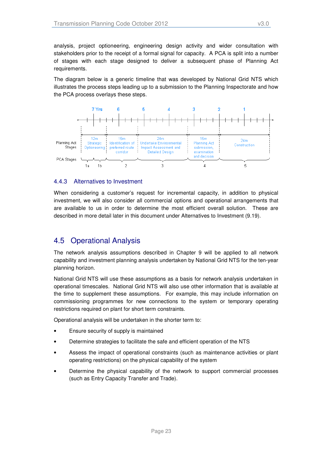analysis, project optioneering, engineering design activity and wider consultation with stakeholders prior to the receipt of a formal signal for capacity. A PCA is split into a number of stages with each stage designed to deliver a subsequent phase of Planning Act requirements.

The diagram below is a generic timeline that was developed by National Grid NTS which illustrates the process steps leading up to a submission to the Planning Inspectorate and how the PCA process overlays these steps.



#### 4.4.3 Alternatives to Investment

When considering a customer's request for incremental capacity, in addition to physical investment, we will also consider all commercial options and operational arrangements that are available to us in order to determine the most efficient overall solution. These are described in more detail later in this document under Alternatives to Investment (9.19).

### 4.5 Operational Analysis

The network analysis assumptions described in Chapter 9 will be applied to all network capability and investment planning analysis undertaken by National Grid NTS for the ten-year planning horizon.

National Grid NTS will use these assumptions as a basis for network analysis undertaken in operational timescales. National Grid NTS will also use other information that is available at the time to supplement these assumptions. For example, this may include information on commissioning programmes for new connections to the system or temporary operating restrictions required on plant for short term constraints.

Operational analysis will be undertaken in the shorter term to:

- Ensure security of supply is maintained
- Determine strategies to facilitate the safe and efficient operation of the NTS
- Assess the impact of operational constraints (such as maintenance activities or plant operating restrictions) on the physical capability of the system
- Determine the physical capability of the network to support commercial processes (such as Entry Capacity Transfer and Trade).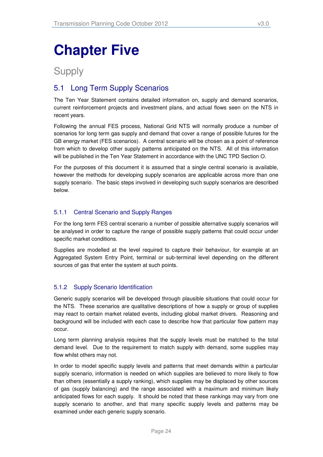# **Chapter Five**

## Supply

## 5.1 Long Term Supply Scenarios

The Ten Year Statement contains detailed information on, supply and demand scenarios, current reinforcement projects and investment plans, and actual flows seen on the NTS in recent years.

Following the annual FES process, National Grid NTS will normally produce a number of scenarios for long term gas supply and demand that cover a range of possible futures for the GB energy market (FES scenarios). A central scenario will be chosen as a point of reference from which to develop other supply patterns anticipated on the NTS. All of this information will be published in the Ten Year Statement in accordance with the UNC TPD Section O.

For the purposes of this document it is assumed that a single central scenario is available, however the methods for developing supply scenarios are applicable across more than one supply scenario. The basic steps involved in developing such supply scenarios are described below.

#### 5.1.1 Central Scenario and Supply Ranges

For the long term FES central scenario a number of possible alternative supply scenarios will be analysed in order to capture the range of possible supply patterns that could occur under specific market conditions.

Supplies are modelled at the level required to capture their behaviour, for example at an Aggregated System Entry Point, terminal or sub-terminal level depending on the different sources of gas that enter the system at such points.

#### 5.1.2 Supply Scenario Identification

Generic supply scenarios will be developed through plausible situations that could occur for the NTS. These scenarios are qualitative descriptions of how a supply or group of supplies may react to certain market related events, including global market drivers. Reasoning and background will be included with each case to describe how that particular flow pattern may occur.

Long term planning analysis requires that the supply levels must be matched to the total demand level. Due to the requirement to match supply with demand, some supplies may flow whilst others may not.

In order to model specific supply levels and patterns that meet demands within a particular supply scenario, information is needed on which supplies are believed to more likely to flow than others (essentially a supply ranking), which supplies may be displaced by other sources of gas (supply balancing) and the range associated with a maximum and minimum likely anticipated flows for each supply. It should be noted that these rankings may vary from one supply scenario to another, and that many specific supply levels and patterns may be examined under each generic supply scenario.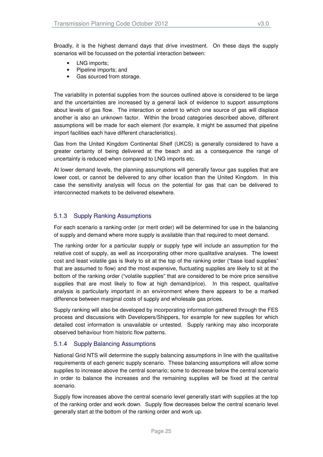Broadly, it is the highest demand days that drive investment. On these days the supply scenarios will be focussed on the potential interaction between:

- LNG imports;
- Pipeline imports; and
- Gas sourced from storage.

The variability in potential supplies from the sources outlined above is considered to be large and the uncertainties are increased by a general lack of evidence to support assumptions about levels of gas flow. The interaction or extent to which one source of gas will displace another is also an unknown factor. Within the broad categories described above, different assumptions will be made for each element (for example, it might be assumed that pipeline import facilities each have different characteristics).

Gas from the United Kingdom Continental Shelf (UKCS) is generally considered to have a greater certainty of being delivered at the beach and as a consequence the range of uncertainty is reduced when compared to LNG imports etc.

At lower demand levels, the planning assumptions will generally favour gas supplies that are lower cost, or cannot be delivered to any other location than the United Kingdom. In this case the sensitivity analysis will focus on the potential for gas that can be delivered to interconnected markets to be delivered elsewhere.

#### 5.1.3 Supply Ranking Assumptions

For each scenario a ranking order (or merit order) will be determined for use in the balancing of supply and demand where more supply is available than that required to meet demand.

The ranking order for a particular supply or supply type will include an assumption for the relative cost of supply, as well as incorporating other more qualitative analyses. The lowest cost and least volatile gas is likely to sit at the top of the ranking order ("base load supplies" that are assumed to flow) and the most expensive, fluctuating supplies are likely to sit at the bottom of the ranking order ("volatile supplies" that are considered to be more price sensitive supplies that are most likely to flow at high demand/price). In this respect, qualitative analysis is particularly important in an environment where there appears to be a marked difference between marginal costs of supply and wholesale gas prices.

Supply ranking will also be developed by incorporating information gathered through the FES process and discussions with Developers/Shippers, for example for new supplies for which detailed cost information is unavailable or untested. Supply ranking may also incorporate observed behaviour from historic flow patterns.

#### 5.1.4 Supply Balancing Assumptions

National Grid NTS will determine the supply balancing assumptions in line with the qualitative requirements of each generic supply scenario. These balancing assumptions will allow some supplies to increase above the central scenario; some to decrease below the central scenario in order to balance the increases and the remaining supplies will be fixed at the central scenario.

Supply flow increases above the central scenario level generally start with supplies at the top of the ranking order and work down. Supply flow decreases below the central scenario level generally start at the bottom of the ranking order and work up.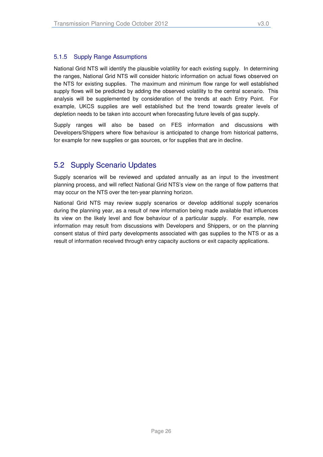National Grid NTS will identify the plausible volatility for each existing supply. In determining the ranges, National Grid NTS will consider historic information on actual flows observed on the NTS for existing supplies. The maximum and minimum flow range for well established supply flows will be predicted by adding the observed volatility to the central scenario. This analysis will be supplemented by consideration of the trends at each Entry Point. For example, UKCS supplies are well established but the trend towards greater levels of depletion needs to be taken into account when forecasting future levels of gas supply.

Supply ranges will also be based on FES information and discussions with Developers/Shippers where flow behaviour is anticipated to change from historical patterns, for example for new supplies or gas sources, or for supplies that are in decline.

## 5.2 Supply Scenario Updates

Supply scenarios will be reviewed and updated annually as an input to the investment planning process, and will reflect National Grid NTS's view on the range of flow patterns that may occur on the NTS over the ten-year planning horizon.

National Grid NTS may review supply scenarios or develop additional supply scenarios during the planning year, as a result of new information being made available that influences its view on the likely level and flow behaviour of a particular supply. For example, new information may result from discussions with Developers and Shippers, or on the planning consent status of third party developments associated with gas supplies to the NTS or as a result of information received through entry capacity auctions or exit capacity applications.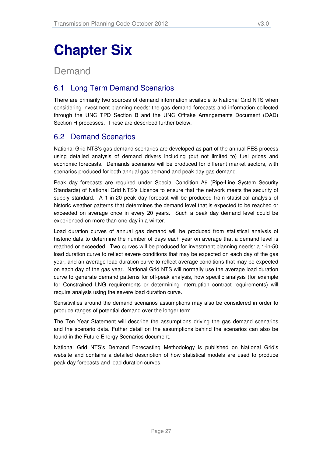# **Chapter Six**

## Demand

## 6.1 Long Term Demand Scenarios

There are primarily two sources of demand information available to National Grid NTS when considering investment planning needs: the gas demand forecasts and information collected through the UNC TPD Section B and the UNC Offtake Arrangements Document (OAD) Section H processes. These are described further below.

## 6.2 Demand Scenarios

National Grid NTS's gas demand scenarios are developed as part of the annual FES process using detailed analysis of demand drivers including (but not limited to) fuel prices and economic forecasts. Demands scenarios will be produced for different market sectors, with scenarios produced for both annual gas demand and peak day gas demand.

Peak day forecasts are required under Special Condition A9 (Pipe-Line System Security Standards) of National Grid NTS's Licence to ensure that the network meets the security of supply standard. A 1-in-20 peak day forecast will be produced from statistical analysis of historic weather patterns that determines the demand level that is expected to be reached or exceeded on average once in every 20 years. Such a peak day demand level could be experienced on more than one day in a winter.

Load duration curves of annual gas demand will be produced from statistical analysis of historic data to determine the number of days each year on average that a demand level is reached or exceeded. Two curves will be produced for investment planning needs: a 1-in-50 load duration curve to reflect severe conditions that may be expected on each day of the gas year, and an average load duration curve to reflect average conditions that may be expected on each day of the gas year. National Grid NTS will normally use the average load duration curve to generate demand patterns for off-peak analysis, how specific analysis (for example for Constrained LNG requirements or determining interruption contract requirements) will require analysis using the severe load duration curve.

Sensitivities around the demand scenarios assumptions may also be considered in order to produce ranges of potential demand over the longer term.

The Ten Year Statement will describe the assumptions driving the gas demand scenarios and the scenario data. Futher detail on the assumptions behind the scenarios can also be found in the Future Energy Scenarios document.

National Grid NTS's Demand Forecasting Methodology is published on National Grid's website and contains a detailed description of how statistical models are used to produce peak day forecasts and load duration curves.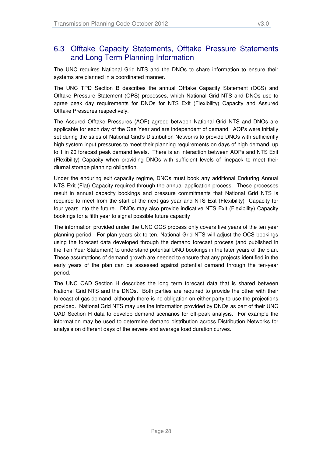### 6.3 Offtake Capacity Statements, Offtake Pressure Statements and Long Term Planning Information

The UNC requires National Grid NTS and the DNOs to share information to ensure their systems are planned in a coordinated manner.

The UNC TPD Section B describes the annual Offtake Capacity Statement (OCS) and Offtake Pressure Statement (OPS) processes, which National Grid NTS and DNOs use to agree peak day requirements for DNOs for NTS Exit (Flexibility) Capacity and Assured Offtake Pressures respectively.

The Assured Offtake Pressures (AOP) agreed between National Grid NTS and DNOs are applicable for each day of the Gas Year and are independent of demand. AOPs were initially set during the sales of National Grid's Distribution Networks to provide DNOs with sufficiently high system input pressures to meet their planning requirements on days of high demand, up to 1 in 20 forecast peak demand levels. There is an interaction between AOPs and NTS Exit (Flexibility) Capacity when providing DNOs with sufficient levels of linepack to meet their diurnal storage planning obligation.

Under the enduring exit capacity regime, DNOs must book any additional Enduring Annual NTS Exit (Flat) Capacity required through the annual application process. These processes result in annual capacity bookings and pressure commitments that National Grid NTS is required to meet from the start of the next gas year and NTS Exit (Flexibility) Capacity for four years into the future. DNOs may also provide indicative NTS Exit (Flexibility) Capacity bookings for a fifth year to signal possible future capacity

The information provided under the UNC OCS process only covers five years of the ten year planning period. For plan years six to ten, National Grid NTS will adjust the OCS bookings using the forecast data developed through the demand forecast process (and published in the Ten Year Statement) to understand potential DNO bookings in the later years of the plan. These assumptions of demand growth are needed to ensure that any projects identified in the early years of the plan can be assessed against potential demand through the ten-year period.

The UNC OAD Section H describes the long term forecast data that is shared between National Grid NTS and the DNOs. Both parties are required to provide the other with their forecast of gas demand, although there is no obligation on either party to use the projections provided. National Grid NTS may use the information provided by DNOs as part of their UNC OAD Section H data to develop demand scenarios for off-peak analysis. For example the information may be used to determine demand distribution across Distribution Networks for analysis on different days of the severe and average load duration curves.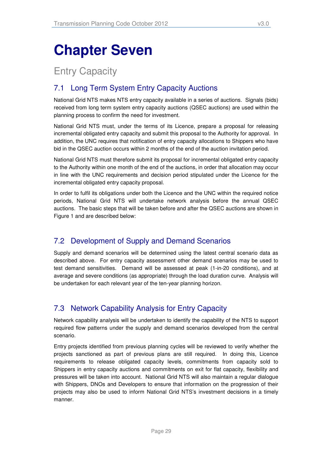# **Chapter Seven**

## Entry Capacity

## 7.1 Long Term System Entry Capacity Auctions

National Grid NTS makes NTS entry capacity available in a series of auctions. Signals (bids) received from long term system entry capacity auctions (QSEC auctions) are used within the planning process to confirm the need for investment.

National Grid NTS must, under the terms of its Licence, prepare a proposal for releasing incremental obligated entry capacity and submit this proposal to the Authority for approval. In addition, the UNC requires that notification of entry capacity allocations to Shippers who have bid in the QSEC auction occurs within 2 months of the end of the auction invitation period.

National Grid NTS must therefore submit its proposal for incremental obligated entry capacity to the Authority within one month of the end of the auctions, in order that allocation may occur in line with the UNC requirements and decision period stipulated under the Licence for the incremental obligated entry capacity proposal.

In order to fulfil its obligations under both the Licence and the UNC within the required notice periods, National Grid NTS will undertake network analysis before the annual QSEC auctions. The basic steps that will be taken before and after the QSEC auctions are shown in Figure 1 and are described below:

## 7.2 Development of Supply and Demand Scenarios

Supply and demand scenarios will be determined using the latest central scenario data as described above. For entry capacity assessment other demand scenarios may be used to test demand sensitivities. Demand will be assessed at peak (1-in-20 conditions), and at average and severe conditions (as appropriate) through the load duration curve. Analysis will be undertaken for each relevant year of the ten-year planning horizon.

## 7.3 Network Capability Analysis for Entry Capacity

Network capability analysis will be undertaken to identify the capability of the NTS to support required flow patterns under the supply and demand scenarios developed from the central scenario.

Entry projects identified from previous planning cycles will be reviewed to verify whether the projects sanctioned as part of previous plans are still required. In doing this, Licence requirements to release obligated capacity levels, commitments from capacity sold to Shippers in entry capacity auctions and commitments on exit for flat capacity, flexibility and pressures will be taken into account. National Grid NTS will also maintain a regular dialogue with Shippers, DNOs and Developers to ensure that information on the progression of their projects may also be used to inform National Grid NTS's investment decisions in a timely manner.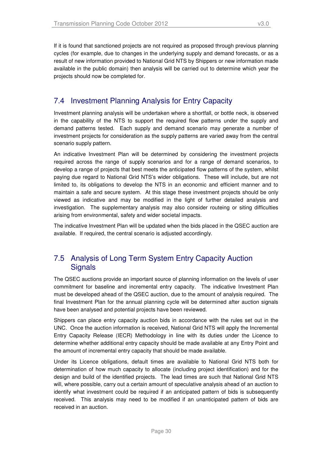If it is found that sanctioned projects are not required as proposed through previous planning cycles (for example, due to changes in the underlying supply and demand forecasts, or as a result of new information provided to National Grid NTS by Shippers or new information made available in the public domain) then analysis will be carried out to determine which year the projects should now be completed for.

## 7.4 Investment Planning Analysis for Entry Capacity

Investment planning analysis will be undertaken where a shortfall, or bottle neck, is observed in the capability of the NTS to support the required flow patterns under the supply and demand patterns tested. Each supply and demand scenario may generate a number of investment projects for consideration as the supply patterns are varied away from the central scenario supply pattern.

An indicative Investment Plan will be determined by considering the investment projects required across the range of supply scenarios and for a range of demand scenarios, to develop a range of projects that best meets the anticipated flow patterns of the system, whilst paying due regard to National Grid NTS's wider obligations. These will include, but are not limited to, its obligations to develop the NTS in an economic and efficient manner and to maintain a safe and secure system. At this stage these investment projects should be only viewed as indicative and may be modified in the light of further detailed analysis and investigation. The supplementary analysis may also consider routeing or siting difficulties arising from environmental, safety and wider societal impacts.

The indicative Investment Plan will be updated when the bids placed in the QSEC auction are available. If required, the central scenario is adjusted accordingly.

## 7.5 Analysis of Long Term System Entry Capacity Auction Signals

The QSEC auctions provide an important source of planning information on the levels of user commitment for baseline and incremental entry capacity. The indicative Investment Plan must be developed ahead of the QSEC auction, due to the amount of analysis required. The final Investment Plan for the annual planning cycle will be determined after auction signals have been analysed and potential projects have been reviewed.

Shippers can place entry capacity auction bids in accordance with the rules set out in the UNC. Once the auction information is received, National Grid NTS will apply the Incremental Entry Capacity Release (IECR) Methodology in line with its duties under the Licence to determine whether additional entry capacity should be made available at any Entry Point and the amount of incremental entry capacity that should be made available.

Under its Licence obligations, default times are available to National Grid NTS both for determination of how much capacity to allocate (including project identification) and for the design and build of the identified projects. The lead times are such that National Grid NTS will, where possible, carry out a certain amount of speculative analysis ahead of an auction to identify what investment could be required if an anticipated pattern of bids is subsequently received. This analysis may need to be modified if an unanticipated pattern of bids are received in an auction.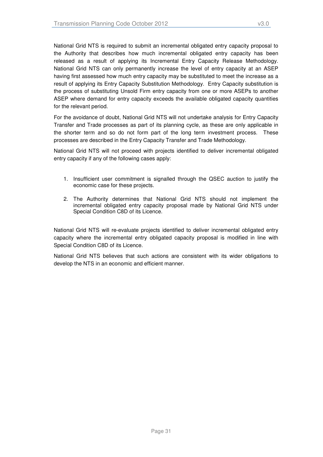National Grid NTS is required to submit an incremental obligated entry capacity proposal to the Authority that describes how much incremental obligated entry capacity has been released as a result of applying its Incremental Entry Capacity Release Methodology. National Grid NTS can only permanently increase the level of entry capacity at an ASEP having first assessed how much entry capacity may be substituted to meet the increase as a result of applying its Entry Capacity Substitution Methodology. Entry Capacity substitution is the process of substituting Unsold Firm entry capacity from one or more ASEPs to another ASEP where demand for entry capacity exceeds the available obligated capacity quantities for the relevant period.

For the avoidance of doubt, National Grid NTS will not undertake analysis for Entry Capacity Transfer and Trade processes as part of its planning cycle, as these are only applicable in the shorter term and so do not form part of the long term investment process. These processes are described in the Entry Capacity Transfer and Trade Methodology.

National Grid NTS will not proceed with projects identified to deliver incremental obligated entry capacity if any of the following cases apply:

- 1. Insufficient user commitment is signalled through the QSEC auction to justify the economic case for these projects.
- 2. The Authority determines that National Grid NTS should not implement the incremental obligated entry capacity proposal made by National Grid NTS under Special Condition C8D of its Licence.

National Grid NTS will re-evaluate projects identified to deliver incremental obligated entry capacity where the incremental entry obligated capacity proposal is modified in line with Special Condition C8D of its Licence.

National Grid NTS believes that such actions are consistent with its wider obligations to develop the NTS in an economic and efficient manner.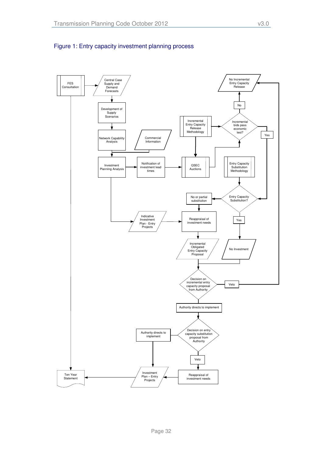

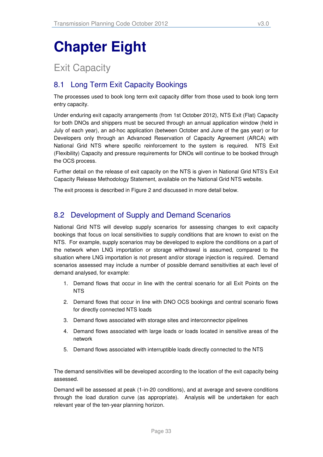# **Chapter Eight**

## Exit Capacity

## 8.1 Long Term Exit Capacity Bookings

The processes used to book long term exit capacity differ from those used to book long term entry capacity.

Under enduring exit capacity arrangements (from 1st October 2012), NTS Exit (Flat) Capacity for both DNOs and shippers must be secured through an annual application window (held in July of each year), an ad-hoc application (between October and June of the gas year) or for Developers only through an Advanced Reservation of Capacity Agreement (ARCA) with National Grid NTS where specific reinforcement to the system is required. NTS Exit (Flexibility) Capacity and pressure requirements for DNOs will continue to be booked through the OCS process.

Further detail on the release of exit capacity on the NTS is given in National Grid NTS's Exit Capacity Release Methodology Statement, available on the National Grid NTS website.

The exit process is described in Figure 2 and discussed in more detail below.

## 8.2 Development of Supply and Demand Scenarios

National Grid NTS will develop supply scenarios for assessing changes to exit capacity bookings that focus on local sensitivities to supply conditions that are known to exist on the NTS. For example, supply scenarios may be developed to explore the conditions on a part of the network when LNG importation or storage withdrawal is assumed, compared to the situation where LNG importation is not present and/or storage injection is required. Demand scenarios assessed may include a number of possible demand sensitivities at each level of demand analysed, for example:

- 1. Demand flows that occur in line with the central scenario for all Exit Points on the NTS
- 2. Demand flows that occur in line with DNO OCS bookings and central scenario flows for directly connected NTS loads
- 3. Demand flows associated with storage sites and interconnector pipelines
- 4. Demand flows associated with large loads or loads located in sensitive areas of the network
- 5. Demand flows associated with interruptible loads directly connected to the NTS

The demand sensitivities will be developed according to the location of the exit capacity being assessed.

Demand will be assessed at peak (1-in-20 conditions), and at average and severe conditions through the load duration curve (as appropriate). Analysis will be undertaken for each relevant year of the ten-year planning horizon.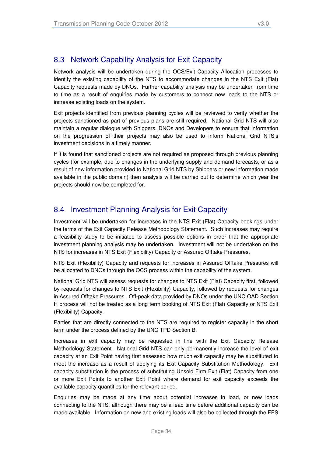## 8.3 Network Capability Analysis for Exit Capacity

Network analysis will be undertaken during the OCS/Exit Capacity Allocation processes to identify the existing capability of the NTS to accommodate changes in the NTS Exit (Flat) Capacity requests made by DNOs. Further capability analysis may be undertaken from time to time as a result of enquiries made by customers to connect new loads to the NTS or increase existing loads on the system.

Exit projects identified from previous planning cycles will be reviewed to verify whether the projects sanctioned as part of previous plans are still required. National Grid NTS will also maintain a regular dialogue with Shippers, DNOs and Developers to ensure that information on the progression of their projects may also be used to inform National Grid NTS's investment decisions in a timely manner.

If it is found that sanctioned projects are not required as proposed through previous planning cycles (for example, due to changes in the underlying supply and demand forecasts, or as a result of new information provided to National Grid NTS by Shippers or new information made available in the public domain) then analysis will be carried out to determine which year the projects should now be completed for.

## 8.4 Investment Planning Analysis for Exit Capacity

Investment will be undertaken for increases in the NTS Exit (Flat) Capacity bookings under the terms of the Exit Capacity Release Methodology Statement. Such increases may require a feasibility study to be initiated to assess possible options in order that the appropriate investment planning analysis may be undertaken. Investment will not be undertaken on the NTS for increases in NTS Exit (Flexibility) Capacity or Assured Offtake Pressures.

NTS Exit (Flexibility) Capacity and requests for increases in Assured Offtake Pressures will be allocated to DNOs through the OCS process within the capability of the system.

National Grid NTS will assess requests for changes to NTS Exit (Flat) Capacity first, followed by requests for changes to NTS Exit (Flexibility) Capacity, followed by requests for changes in Assured Offtake Pressures. Off-peak data provided by DNOs under the UNC OAD Section H process will not be treated as a long term booking of NTS Exit (Flat) Capacity or NTS Exit (Flexibility) Capacity.

Parties that are directly connected to the NTS are required to register capacity in the short term under the process defined by the UNC TPD Section B.

Increases in exit capacity may be requested in line with the Exit Capacity Release Methodology Statement. National Grid NTS can only permanently increase the level of exit capacity at an Exit Point having first assessed how much exit capacity may be substituted to meet the increase as a result of applying its Exit Capacity Substitution Methodology. Exit capacity substitution is the process of substituting Unsold Firm Exit (Flat) Capacity from one or more Exit Points to another Exit Point where demand for exit capacity exceeds the available capacity quantities for the relevant period.

Enquiries may be made at any time about potential increases in load, or new loads connecting to the NTS, although there may be a lead time before additional capacity can be made available. Information on new and existing loads will also be collected through the FES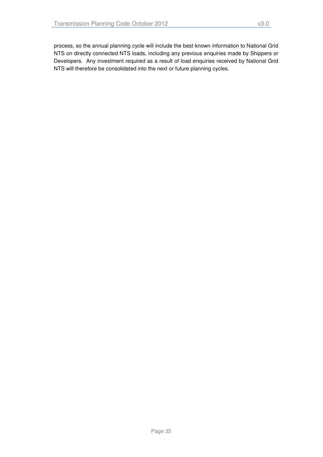process, so the annual planning cycle will include the best known information to National Grid NTS on directly connected NTS loads, including any previous enquiries made by Shippers or Developers. Any investment required as a result of load enquiries received by National Grid NTS will therefore be consolidated into the next or future planning cycles.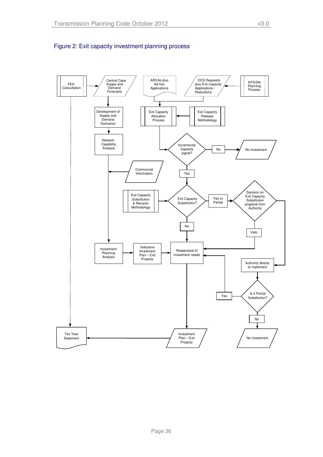

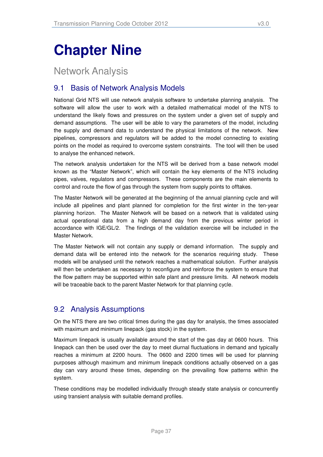## **Chapter Nine**

## Network Analysis

## 9.1 Basis of Network Analysis Models

National Grid NTS will use network analysis software to undertake planning analysis. The software will allow the user to work with a detailed mathematical model of the NTS to understand the likely flows and pressures on the system under a given set of supply and demand assumptions. The user will be able to vary the parameters of the model, including the supply and demand data to understand the physical limitations of the network. New pipelines, compressors and regulators will be added to the model connecting to existing points on the model as required to overcome system constraints. The tool will then be used to analyse the enhanced network.

The network analysis undertaken for the NTS will be derived from a base network model known as the "Master Network", which will contain the key elements of the NTS including pipes, valves, regulators and compressors. These components are the main elements to control and route the flow of gas through the system from supply points to offtakes.

The Master Network will be generated at the beginning of the annual planning cycle and will include all pipelines and plant planned for completion for the first winter in the ten-year planning horizon. The Master Network will be based on a network that is validated using actual operational data from a high demand day from the previous winter period in accordance with IGE/GL/2. The findings of the validation exercise will be included in the Master Network.

The Master Network will not contain any supply or demand information. The supply and demand data will be entered into the network for the scenarios requiring study. These models will be analysed until the network reaches a mathematical solution. Further analysis will then be undertaken as necessary to reconfigure and reinforce the system to ensure that the flow pattern may be supported within safe plant and pressure limits. All network models will be traceable back to the parent Master Network for that planning cycle.

## 9.2 Analysis Assumptions

On the NTS there are two critical times during the gas day for analysis, the times associated with maximum and minimum linepack (gas stock) in the system.

Maximum linepack is usually available around the start of the gas day at 0600 hours. This linepack can then be used over the day to meet diurnal fluctuations in demand and typically reaches a minimum at 2200 hours. The 0600 and 2200 times will be used for planning purposes although maximum and minimum linepack conditions actually observed on a gas day can vary around these times, depending on the prevailing flow patterns within the system.

These conditions may be modelled individually through steady state analysis or concurrently using transient analysis with suitable demand profiles.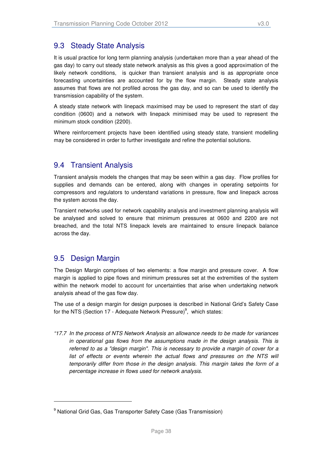It is usual practice for long term planning analysis (undertaken more than a year ahead of the gas day) to carry out steady state network analysis as this gives a good approximation of the likely network conditions, is quicker than transient analysis and is as appropriate once forecasting uncertainties are accounted for by the flow margin. Steady state analysis assumes that flows are not profiled across the gas day, and so can be used to identify the transmission capability of the system.

A steady state network with linepack maximised may be used to represent the start of day condition (0600) and a network with linepack minimised may be used to represent the minimum stock condition (2200).

Where reinforcement projects have been identified using steady state, transient modelling may be considered in order to further investigate and refine the potential solutions.

## 9.4 Transient Analysis

Transient analysis models the changes that may be seen within a gas day. Flow profiles for supplies and demands can be entered, along with changes in operating setpoints for compressors and regulators to understand variations in pressure, flow and linepack across the system across the day.

Transient networks used for network capability analysis and investment planning analysis will be analysed and solved to ensure that minimum pressures at 0600 and 2200 are not breached, and the total NTS linepack levels are maintained to ensure linepack balance across the day.

## 9.5 Design Margin

-

The Design Margin comprises of two elements: a flow margin and pressure cover. A flow margin is applied to pipe flows and minimum pressures set at the extremities of the system within the network model to account for uncertainties that arise when undertaking network analysis ahead of the gas flow day.

The use of a design margin for design purposes is described in National Grid's Safety Case for the NTS (Section 17 - Adequate Network Pressure)<sup>9</sup>, which states:

"17.7 In the process of NTS Network Analysis an allowance needs to be made for variances in operational gas flows from the assumptions made in the design analysis. This is referred to as a "design margin". This is necessary to provide a margin of cover for a list of effects or events wherein the actual flows and pressures on the NTS will temporarily differ from those in the design analysis. This margin takes the form of a percentage increase in flows used for network analysis.

<sup>&</sup>lt;sup>9</sup> National Grid Gas, Gas Transporter Safety Case (Gas Transmission)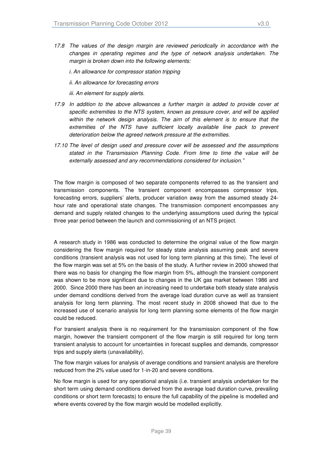- 17.8 The values of the design margin are reviewed periodically in accordance with the changes in operating regimes and the type of network analysis undertaken. The margin is broken down into the following elements:
	- i. An allowance for compressor station tripping
	- ii. An allowance for forecasting errors
	- iii. An element for supply alerts.
- 17.9 In addition to the above allowances a further margin is added to provide cover at specific extremities to the NTS system, known as pressure cover, and will be applied within the network design analysis. The aim of this element is to ensure that the extremities of the NTS have sufficient locally available line pack to prevent deterioration below the agreed network pressure at the extremities.
- 17.10 The level of design used and pressure cover will be assessed and the assumptions stated in the Transmission Planning Code. From time to time the value will be externally assessed and any recommendations considered for inclusion."

The flow margin is composed of two separate components referred to as the transient and transmission components. The transient component encompasses compressor trips, forecasting errors, suppliers' alerts, producer variation away from the assumed steady 24 hour rate and operational state changes. The transmission component encompasses any demand and supply related changes to the underlying assumptions used during the typical three year period between the launch and commissioning of an NTS project.

A research study in 1986 was conducted to determine the original value of the flow margin considering the flow margin required for steady state analysis assuming peak and severe conditions (transient analysis was not used for long term planning at this time). The level of the flow margin was set at 5% on the basis of the study. A further review in 2000 showed that there was no basis for changing the flow margin from 5%, although the transient component was shown to be more significant due to changes in the UK gas market between 1986 and 2000. Since 2000 there has been an increasing need to undertake both steady state analysis under demand conditions derived from the average load duration curve as well as transient analysis for long term planning. The most recent study in 2008 showed that due to the increased use of scenario analysis for long term planning some elements of the flow margin could be reduced.

For transient analysis there is no requirement for the transmission component of the flow margin, however the transient component of the flow margin is still required for long term transient analysis to account for uncertainties in forecast supplies and demands, compressor trips and supply alerts (unavailability).

The flow margin values for analysis of average conditions and transient analysis are therefore reduced from the 2% value used for 1-in-20 and severe conditions.

No flow margin is used for any operational analysis (i.e. transient analysis undertaken for the short term using demand conditions derived from the average load duration curve, prevailing conditions or short term forecasts) to ensure the full capability of the pipeline is modelled and where events covered by the flow margin would be modelled explicitly.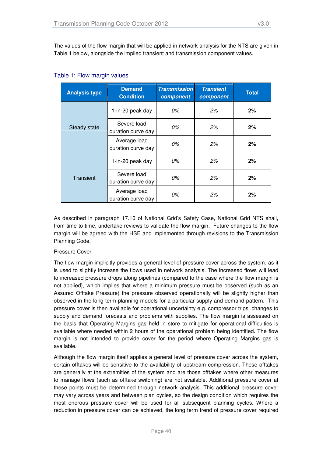The values of the flow margin that will be applied in network analysis for the NTS are given in Table 1 below, alongside the implied transient and transmission component values.

| <b>Analysis type</b> | <b>Demand</b><br><b>Condition</b>  | <b>Transmission</b><br>component | <b>Transient</b><br>component | <b>Total</b> |
|----------------------|------------------------------------|----------------------------------|-------------------------------|--------------|
| <b>Steady state</b>  | 1-in-20 peak day                   | 0%                               | 2%                            | 2%           |
|                      | Severe load<br>duration curve day  | 0%                               | 2%                            | 2%           |
|                      | Average load<br>duration curve day | 0%                               | 2%                            | 2%           |
| Transient            | 1-in-20 peak day                   | 0%                               | 2%                            | 2%           |
|                      | Severe load<br>duration curve day  | 0%                               | 2%                            | 2%           |
|                      | Average load<br>duration curve day | 0%                               | 2%                            | 2%           |

#### Table 1: Flow margin values

As described in paragraph 17.10 of National Grid's Safety Case, National Grid NTS shall, from time to time, undertake reviews to validate the flow margin. Future changes to the flow margin will be agreed with the HSE and implemented through revisions to the Transmission Planning Code.

#### Pressure Cover

The flow margin implicitly provides a general level of pressure cover across the system, as it is used to slightly increase the flows used in network analysis. The increased flows will lead to increased pressure drops along pipelines (compared to the case where the flow margin is not applied), which implies that where a minimum pressure must be observed (such as an Assured Offtake Pressure) the pressure observed operationally will be slightly higher than observed in the long term planning models for a particular supply and demand pattern. This pressure cover is then available for operational uncertainty e.g. compressor trips, changes to supply and demand forecasts and problems with supplies. The flow margin is assessed on the basis that Operating Margins gas held in store to mitigate for operational difficulties is available where needed within 2 hours of the operational problem being identified. The flow margin is not intended to provide cover for the period where Operating Margins gas is available.

Although the flow margin itself applies a general level of pressure cover across the system, certain offtakes will be sensitive to the availability of upstream compression. These offtakes are generally at the extremities of the system and are those offtakes where other measures to manage flows (such as offtake switching) are not available. Additional pressure cover at these points must be determined through network analysis. This additional pressure cover may vary across years and between plan cycles, so the design condition which requires the most onerous pressure cover will be used for all subsequent planning cycles. Where a reduction in pressure cover can be achieved, the long term trend of pressure cover required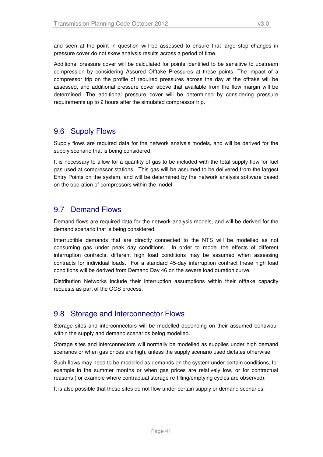and seen at the point in question will be assessed to ensure that large step changes in pressure cover do not skew analysis results across a period of time.

Additional pressure cover will be calculated for points identified to be sensitive to upstream compression by considering Assured Offtake Pressures at these points. The impact of a compressor trip on the profile of required pressures across the day at the offtake will be assessed, and additional pressure cover above that available from the flow margin will be determined. The additional pressure cover will be determined by considering pressure requirements up to 2 hours after the simulated compressor trip.

## 9.6 Supply Flows

Supply flows are required data for the network analysis models, and will be derived for the supply scenario that is being considered.

It is necessary to allow for a quantity of gas to be included with the total supply flow for fuel gas used at compressor stations. This gas will be assumed to be delivered from the largest Entry Points on the system, and will be determined by the network analysis software based on the operation of compressors within the model.

## 9.7 Demand Flows

Demand flows are required data for the network analysis models, and will be derived for the demand scenario that is being considered.

Interruptible demands that are directly connected to the NTS will be modelled as not consuming gas under peak day conditions. In order to model the effects of different interruption contracts, different high load conditions may be assumed when assessing contracts for individual loads. For a standard 45-day interruption contract these high load conditions will be derived from Demand Day 46 on the severe load duration curve.

Distribution Networks include their interruption assumptions within their offtake capacity requests as part of the OCS process.

## 9.8 Storage and Interconnector Flows

Storage sites and interconnectors will be modelled depending on their assumed behaviour within the supply and demand scenarios being modelled.

Storage sites and interconnectors will normally be modelled as supplies under high demand scenarios or when gas prices are high, unless the supply scenario used dictates otherwise.

Such flows may need to be modelled as demands on the system under certain conditions, for example in the summer months or when gas prices are relatively low, or for contractual reasons (for example where contractual storage re-filling/emptying cycles are observed).

It is also possible that these sites do not flow under certain supply or demand scenarios.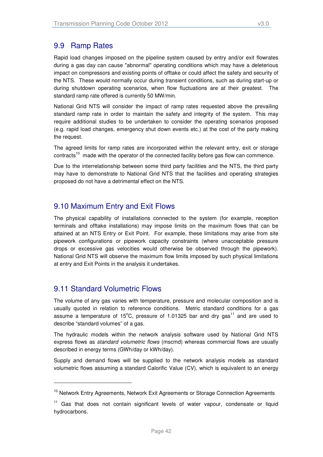## 9.9 Ramp Rates

Rapid load changes imposed on the pipeline system caused by entry and/or exit flowrates during a gas day can cause "abnormal" operating conditions which may have a deleterious impact on compressors and existing points of offtake or could affect the safety and security of the NTS. These would normally occur during transient conditions, such as during start-up or during shutdown operating scenarios, when flow fluctuations are at their greatest. The standard ramp rate offered is currently 50 MW/min.

National Grid NTS will consider the impact of ramp rates requested above the prevailing standard ramp rate in order to maintain the safety and integrity of the system. This may require additional studies to be undertaken to consider the operating scenarios proposed (e.g. rapid load changes, emergency shut down events etc.) at the cost of the party making the request.

The agreed limits for ramp rates are incorporated within the relevant entry, exit or storage contracts<sup>10</sup> made with the operator of the connected facility before gas flow can commence.

Due to the interrelationship between some third party facilities and the NTS, the third party may have to demonstrate to National Grid NTS that the facilities and operating strategies proposed do not have a detrimental effect on the NTS.

## 9.10 Maximum Entry and Exit Flows

The physical capability of installations connected to the system (for example, reception terminals and offtake installations) may impose limits on the maximum flows that can be attained at an NTS Entry or Exit Point. For example, these limitations may arise from site pipework configurations or pipework capacity constraints (where unacceptable pressure drops or excessive gas velocities would otherwise be observed through the pipework). National Grid NTS will observe the maximum flow limits imposed by such physical limitations at entry and Exit Points in the analysis it undertakes.

### 9.11 Standard Volumetric Flows

l

The volume of any gas varies with temperature, pressure and molecular composition and is usually quoted in relation to reference conditions. Metric standard conditions for a gas assume a temperature of 15°C, pressure of 1.01325 bar and dry gas<sup>11</sup> and are used to describe "standard volumes" of a gas.

The hydraulic models within the network analysis software used by National Grid NTS express flows as *standard volumetric flows* (mscmd) whereas commercial flows are usually described in energy terms (GWh/day or kWh/day).

Supply and demand flows will be supplied to the network analysis models as standard volumetric flows assuming a standard Calorific Value (CV), which is equivalent to an energy

<sup>&</sup>lt;sup>10</sup> Network Entry Agreements, Network Exit Agreements or Storage Connection Agreements

 $11$  Gas that does not contain significant levels of water vapour, condensate or liquid hydrocarbons.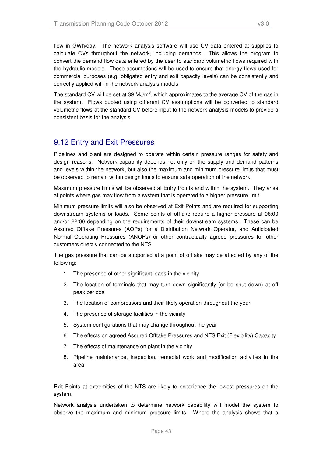flow in GWh/day. The network analysis software will use CV data entered at supplies to calculate CVs throughout the network, including demands. This allows the program to convert the demand flow data entered by the user to standard volumetric flows required with the hydraulic models. These assumptions will be used to ensure that energy flows used for commercial purposes (e.g. obligated entry and exit capacity levels) can be consistently and correctly applied within the network analysis models

The standard CV will be set at 39 MJ/m<sup>3</sup>, which approximates to the average CV of the gas in the system. Flows quoted using different CV assumptions will be converted to standard volumetric flows at the standard CV before input to the network analysis models to provide a consistent basis for the analysis.

### 9.12 Entry and Exit Pressures

Pipelines and plant are designed to operate within certain pressure ranges for safety and design reasons. Network capability depends not only on the supply and demand patterns and levels within the network, but also the maximum and minimum pressure limits that must be observed to remain within design limits to ensure safe operation of the network.

Maximum pressure limits will be observed at Entry Points and within the system. They arise at points where gas may flow from a system that is operated to a higher pressure limit.

Minimum pressure limits will also be observed at Exit Points and are required for supporting downstream systems or loads. Some points of offtake require a higher pressure at 06:00 and/or 22:00 depending on the requirements of their downstream systems. These can be Assured Offtake Pressures (AOPs) for a Distribution Network Operator, and Anticipated Normal Operating Pressures (ANOPs) or other contractually agreed pressures for other customers directly connected to the NTS.

The gas pressure that can be supported at a point of offtake may be affected by any of the following:

- 1. The presence of other significant loads in the vicinity
- 2. The location of terminals that may turn down significantly (or be shut down) at off peak periods
- 3. The location of compressors and their likely operation throughout the year
- 4. The presence of storage facilities in the vicinity
- 5. System configurations that may change throughout the year
- 6. The effects on agreed Assured Offtake Pressures and NTS Exit (Flexibility) Capacity
- 7. The effects of maintenance on plant in the vicinity
- 8. Pipeline maintenance, inspection, remedial work and modification activities in the area

Exit Points at extremities of the NTS are likely to experience the lowest pressures on the system.

Network analysis undertaken to determine network capability will model the system to observe the maximum and minimum pressure limits. Where the analysis shows that a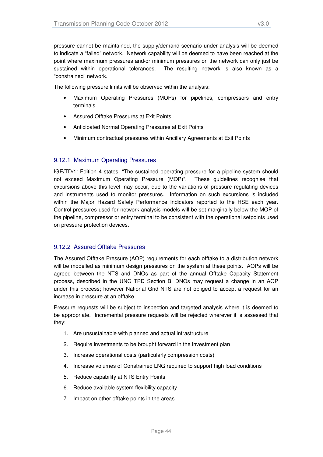pressure cannot be maintained, the supply/demand scenario under analysis will be deemed to indicate a "failed" network. Network capability will be deemed to have been reached at the point where maximum pressures and/or minimum pressures on the network can only just be sustained within operational tolerances. The resulting network is also known as a "constrained" network.

The following pressure limits will be observed within the analysis:

- Maximum Operating Pressures (MOPs) for pipelines, compressors and entry terminals
- Assured Offtake Pressures at Exit Points
- Anticipated Normal Operating Pressures at Exit Points
- Minimum contractual pressures within Ancillary Agreements at Exit Points

#### 9.12.1 Maximum Operating Pressures

IGE/TD/1: Edition 4 states, "The sustained operating pressure for a pipeline system should not exceed Maximum Operating Pressure (MOP)". These guidelines recognise that excursions above this level may occur, due to the variations of pressure regulating devices and instruments used to monitor pressures. Information on such excursions is included within the Major Hazard Safety Performance Indicators reported to the HSE each year. Control pressures used for network analysis models will be set marginally below the MOP of the pipeline, compressor or entry terminal to be consistent with the operational setpoints used on pressure protection devices.

#### 9.12.2 Assured Offtake Pressures

The Assured Offtake Pressure (AOP) requirements for each offtake to a distribution network will be modelled as minimum design pressures on the system at these points. AOPs will be agreed between the NTS and DNOs as part of the annual Offtake Capacity Statement process, described in the UNC TPD Section B. DNOs may request a change in an AOP under this process; however National Grid NTS are not obliged to accept a request for an increase in pressure at an offtake.

Pressure requests will be subject to inspection and targeted analysis where it is deemed to be appropriate. Incremental pressure requests will be rejected wherever it is assessed that they:

- 1. Are unsustainable with planned and actual infrastructure
- 2. Require investments to be brought forward in the investment plan
- 3. Increase operational costs (particularly compression costs)
- 4. Increase volumes of Constrained LNG required to support high load conditions
- 5. Reduce capability at NTS Entry Points
- 6. Reduce available system flexibility capacity
- 7. Impact on other offtake points in the areas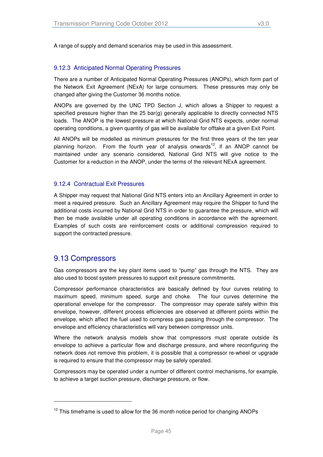A range of supply and demand scenarios may be used in this assessment.

#### 9.12.3 Anticipated Normal Operating Pressures

There are a number of Anticipated Normal Operating Pressures (ANOPs), which form part of the Network Exit Agreement (NExA) for large consumers. These pressures may only be changed after giving the Customer 36 months notice.

ANOPs are governed by the UNC TPD Section J, which allows a Shipper to request a specified pressure higher than the 25 bar(g) generally applicable to directly connected NTS loads. The ANOP is the lowest pressure at which National Grid NTS expects, under normal operating conditions, a given quantity of gas will be available for offtake at a given Exit Point.

All ANOPs will be modelled as minimum pressures for the first three years of the ten year planning horizon. From the fourth year of analysis onwards<sup>12</sup>, if an ANOP cannot be maintained under any scenario considered, National Grid NTS will give notice to the Customer for a reduction in the ANOP, under the terms of the relevant NExA agreement.

#### 9.12.4 Contractual Exit Pressures

A Shipper may request that National Grid NTS enters into an Ancillary Agreement in order to meet a required pressure. Such an Ancillary Agreement may require the Shipper to fund the additional costs incurred by National Grid NTS in order to guarantee the pressure, which will then be made available under all operating conditions in accordance with the agreement. Examples of such costs are reinforcement costs or additional compression required to support the contracted pressure.

#### 9.13 Compressors

-

Gas compressors are the key plant items used to "pump" gas through the NTS. They are also used to boost system pressures to support exit pressure commitments.

Compressor performance characteristics are basically defined by four curves relating to maximum speed, minimum speed, surge and choke. The four curves determine the operational envelope for the compressor. The compressor may operate safely within this envelope, however, different process efficiencies are observed at different points within the envelope, which affect the fuel used to compress gas passing through the compressor. The envelope and efficiency characteristics will vary between compressor units.

Where the network analysis models show that compressors must operate outside its envelope to achieve a particular flow and discharge pressure, and where reconfiguring the network does not remove this problem, it is possible that a compressor re-wheel or upgrade is required to ensure that the compressor may be safely operated.

Compressors may be operated under a number of different control mechanisms, for example, to achieve a target suction pressure, discharge pressure, or flow.

 $12$  This timeframe is used to allow for the 36 month notice period for changing ANOPs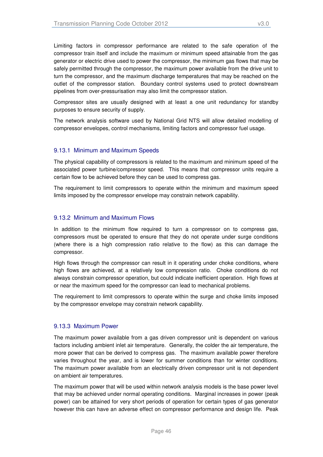Limiting factors in compressor performance are related to the safe operation of the compressor train itself and include the maximum or minimum speed attainable from the gas generator or electric drive used to power the compressor, the minimum gas flows that may be safely permitted through the compressor, the maximum power available from the drive unit to turn the compressor, and the maximum discharge temperatures that may be reached on the outlet of the compressor station. Boundary control systems used to protect downstream pipelines from over-pressurisation may also limit the compressor station.

Compressor sites are usually designed with at least a one unit redundancy for standby purposes to ensure security of supply.

The network analysis software used by National Grid NTS will allow detailed modelling of compressor envelopes, control mechanisms, limiting factors and compressor fuel usage.

#### 9.13.1 Minimum and Maximum Speeds

The physical capability of compressors is related to the maximum and minimum speed of the associated power turbine/compressor speed. This means that compressor units require a certain flow to be achieved before they can be used to compress gas.

The requirement to limit compressors to operate within the minimum and maximum speed limits imposed by the compressor envelope may constrain network capability.

#### 9.13.2 Minimum and Maximum Flows

In addition to the minimum flow required to turn a compressor on to compress gas, compressors must be operated to ensure that they do not operate under surge conditions (where there is a high compression ratio relative to the flow) as this can damage the compressor.

High flows through the compressor can result in it operating under choke conditions, where high flows are achieved, at a relatively low compression ratio. Choke conditions do not always constrain compressor operation, but could indicate inefficient operation. High flows at or near the maximum speed for the compressor can lead to mechanical problems.

The requirement to limit compressors to operate within the surge and choke limits imposed by the compressor envelope may constrain network capability.

#### 9.13.3 Maximum Power

The maximum power available from a gas driven compressor unit is dependent on various factors including ambient inlet air temperature. Generally, the colder the air temperature, the more power that can be derived to compress gas. The maximum available power therefore varies throughout the year, and is lower for summer conditions than for winter conditions. The maximum power available from an electrically driven compressor unit is not dependent on ambient air temperatures.

The maximum power that will be used within network analysis models is the base power level that may be achieved under normal operating conditions. Marginal increases in power (peak power) can be attained for very short periods of operation for certain types of gas generator however this can have an adverse effect on compressor performance and design life. Peak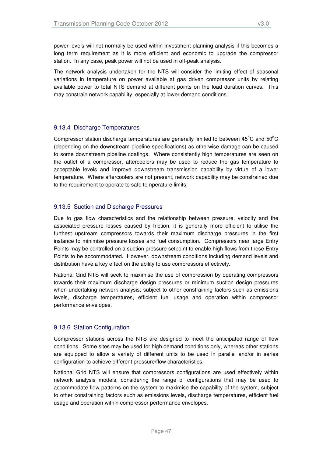power levels will not normally be used within investment planning analysis if this becomes a long term requirement as it is more efficient and economic to upgrade the compressor station. In any case, peak power will not be used in off-peak analysis.

The network analysis undertaken for the NTS will consider the limiting effect of seasonal variations in temperature on power available at gas driven compressor units by relating available power to total NTS demand at different points on the load duration curves. This may constrain network capability, especially at lower demand conditions.

#### 9.13.4 Discharge Temperatures

Compressor station discharge temperatures are generally limited to between  $45^{\circ}$ C and  $50^{\circ}$ C (depending on the downstream pipeline specifications) as otherwise damage can be caused to some downstream pipeline coatings. Where consistently high temperatures are seen on the outlet of a compressor, aftercoolers may be used to reduce the gas temperature to acceptable levels and improve downstream transmission capability by virtue of a lower temperature. Where aftercoolers are not present, network capability may be constrained due to the requirement to operate to safe temperature limits.

#### 9.13.5 Suction and Discharge Pressures

Due to gas flow characteristics and the relationship between pressure, velocity and the associated pressure losses caused by friction, it is generally more efficient to utilise the furthest upstream compressors towards their maximum discharge pressures in the first instance to minimise pressure losses and fuel consumption. Compressors near large Entry Points may be controlled on a suction pressure setpoint to enable high flows from these Entry Points to be accommodated. However, downstream conditions including demand levels and distribution have a key effect on the ability to use compressors effectively.

National Grid NTS will seek to maximise the use of compression by operating compressors towards their maximum discharge design pressures or minimum suction design pressures when undertaking network analysis, subject to other constraining factors such as emissions levels, discharge temperatures, efficient fuel usage and operation within compressor performance envelopes.

#### 9.13.6 Station Configuration

Compressor stations across the NTS are designed to meet the anticipated range of flow conditions. Some sites may be used for high demand conditions only, whereas other stations are equipped to allow a variety of different units to be used in parallel and/or in series configuration to achieve different pressure/flow characteristics.

National Grid NTS will ensure that compressors configurations are used effectively within network analysis models, considering the range of configurations that may be used to accommodate flow patterns on the system to maximise the capability of the system, subject to other constraining factors such as emissions levels, discharge temperatures, efficient fuel usage and operation within compressor performance envelopes.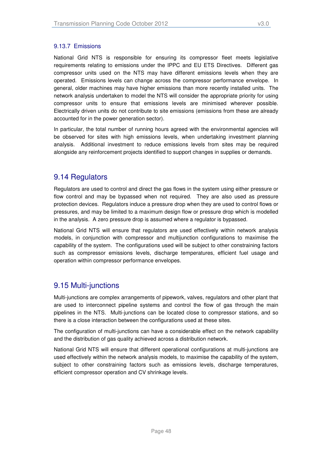#### 9.13.7 Emissions

National Grid NTS is responsible for ensuring its compressor fleet meets legislative requirements relating to emissions under the IPPC and EU ETS Directives. Different gas compressor units used on the NTS may have different emissions levels when they are operated. Emissions levels can change across the compressor performance envelope. In general, older machines may have higher emissions than more recently installed units. The network analysis undertaken to model the NTS will consider the appropriate priority for using compressor units to ensure that emissions levels are minimised wherever possible. Electrically driven units do not contribute to site emissions (emissions from these are already accounted for in the power generation sector).

In particular, the total number of running hours agreed with the environmental agencies will be observed for sites with high emissions levels, when undertaking investment planning analysis. Additional investment to reduce emissions levels from sites may be required alongside any reinforcement projects identified to support changes in supplies or demands.

### 9.14 Regulators

Regulators are used to control and direct the gas flows in the system using either pressure or flow control and may be bypassed when not required. They are also used as pressure protection devices. Regulators induce a pressure drop when they are used to control flows or pressures, and may be limited to a maximum design flow or pressure drop which is modelled in the analysis. A zero pressure drop is assumed where a regulator is bypassed.

National Grid NTS will ensure that regulators are used effectively within network analysis models, in conjunction with compressor and multijunction configurations to maximise the capability of the system. The configurations used will be subject to other constraining factors such as compressor emissions levels, discharge temperatures, efficient fuel usage and operation within compressor performance envelopes.

## 9.15 Multi-junctions

Multi-junctions are complex arrangements of pipework, valves, regulators and other plant that are used to interconnect pipeline systems and control the flow of gas through the main pipelines in the NTS. Multi-junctions can be located close to compressor stations, and so there is a close interaction between the configurations used at these sites.

The configuration of multi-junctions can have a considerable effect on the network capability and the distribution of gas quality achieved across a distribution network.

National Grid NTS will ensure that different operational configurations at multi-junctions are used effectively within the network analysis models, to maximise the capability of the system, subject to other constraining factors such as emissions levels, discharge temperatures, efficient compressor operation and CV shrinkage levels.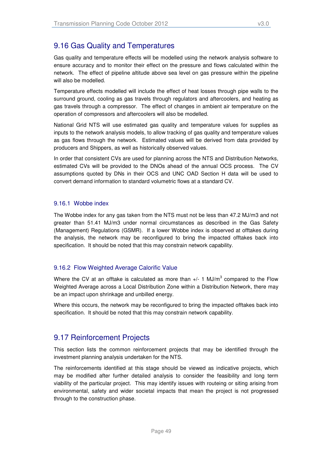Gas quality and temperature effects will be modelled using the network analysis software to ensure accuracy and to monitor their effect on the pressure and flows calculated within the network. The effect of pipeline altitude above sea level on gas pressure within the pipeline will also be modelled.

Temperature effects modelled will include the effect of heat losses through pipe walls to the surround ground, cooling as gas travels through regulators and aftercoolers, and heating as gas travels through a compressor. The effect of changes in ambient air temperature on the operation of compressors and aftercoolers will also be modelled.

National Grid NTS will use estimated gas quality and temperature values for supplies as inputs to the network analysis models, to allow tracking of gas quality and temperature values as gas flows through the network. Estimated values will be derived from data provided by producers and Shippers, as well as historically observed values.

In order that consistent CVs are used for planning across the NTS and Distribution Networks, estimated CVs will be provided to the DNOs ahead of the annual OCS process. The CV assumptions quoted by DNs in their OCS and UNC OAD Section H data will be used to convert demand information to standard volumetric flows at a standard CV.

#### 9.16.1 Wobbe index

The Wobbe index for any gas taken from the NTS must not be less than 47.2 MJ/m3 and not greater than 51.41 MJ/m3 under normal circumstances as described in the Gas Safety (Management) Regulations (GSMR). If a lower Wobbe index is observed at offtakes during the analysis, the network may be reconfigured to bring the impacted offtakes back into specification. It should be noted that this may constrain network capability.

#### 9.16.2 Flow Weighted Average Calorific Value

Where the CV at an offtake is calculated as more than  $+/- 1$  MJ/m<sup>3</sup> compared to the Flow Weighted Average across a Local Distribution Zone within a Distribution Network, there may be an impact upon shrinkage and unbilled energy.

Where this occurs, the network may be reconfigured to bring the impacted offtakes back into specification. It should be noted that this may constrain network capability.

## 9.17 Reinforcement Projects

This section lists the common reinforcement projects that may be identified through the investment planning analysis undertaken for the NTS.

The reinforcements identified at this stage should be viewed as indicative projects, which may be modified after further detailed analysis to consider the feasibility and long term viability of the particular project. This may identify issues with routeing or siting arising from environmental, safety and wider societal impacts that mean the project is not progressed through to the construction phase.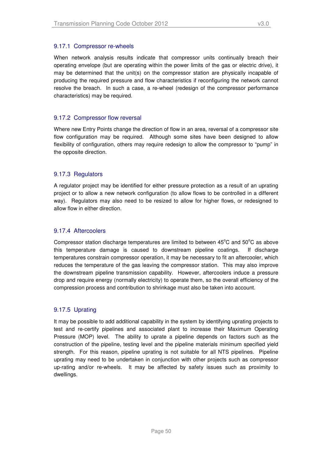When network analysis results indicate that compressor units continually breach their operating envelope (but are operating within the power limits of the gas or electric drive), it may be determined that the unit(s) on the compressor station are physically incapable of producing the required pressure and flow characteristics if reconfiguring the network cannot resolve the breach. In such a case, a re-wheel (redesign of the compressor performance characteristics) may be required.

#### 9.17.2 Compressor flow reversal

Where new Entry Points change the direction of flow in an area, reversal of a compressor site flow configuration may be required. Although some sites have been designed to allow flexibility of configuration, others may require redesign to allow the compressor to "pump" in the opposite direction.

#### 9.17.3 Regulators

A regulator project may be identified for either pressure protection as a result of an uprating project or to allow a new network configuration (to allow flows to be controlled in a different way). Regulators may also need to be resized to allow for higher flows, or redesigned to allow flow in either direction.

#### 9.17.4 Aftercoolers

Compressor station discharge temperatures are limited to between  $45^{\circ}$ C and  $50^{\circ}$ C as above this temperature damage is caused to downstream pipeline coatings. If discharge temperatures constrain compressor operation, it may be necessary to fit an aftercooler, which reduces the temperature of the gas leaving the compressor station. This may also improve the downstream pipeline transmission capability. However, aftercoolers induce a pressure drop and require energy (normally electricity) to operate them, so the overall efficiency of the compression process and contribution to shrinkage must also be taken into account.

#### 9.17.5 Uprating

It may be possible to add additional capability in the system by identifying uprating projects to test and re-certify pipelines and associated plant to increase their Maximum Operating Pressure (MOP) level. The ability to uprate a pipeline depends on factors such as the construction of the pipeline, testing level and the pipeline materials minimum specified yield strength. For this reason, pipeline uprating is not suitable for all NTS pipelines. Pipeline uprating may need to be undertaken in conjunction with other projects such as compressor up-rating and/or re-wheels. It may be affected by safety issues such as proximity to dwellings.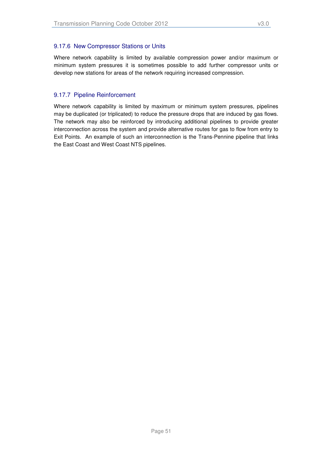Where network capability is limited by available compression power and/or maximum or minimum system pressures it is sometimes possible to add further compressor units or develop new stations for areas of the network requiring increased compression.

#### 9.17.7 Pipeline Reinforcement

Where network capability is limited by maximum or minimum system pressures, pipelines may be duplicated (or triplicated) to reduce the pressure drops that are induced by gas flows. The network may also be reinforced by introducing additional pipelines to provide greater interconnection across the system and provide alternative routes for gas to flow from entry to Exit Points. An example of such an interconnection is the Trans-Pennine pipeline that links the East Coast and West Coast NTS pipelines.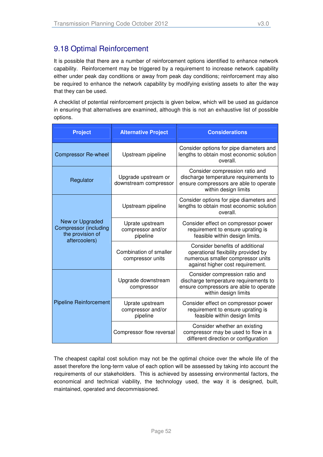## 9.18 Optimal Reinforcement

It is possible that there are a number of reinforcement options identified to enhance network capability. Reinforcement may be triggered by a requirement to increase network capability either under peak day conditions or away from peak day conditions; reinforcement may also be required to enhance the network capability by modifying existing assets to alter the way that they can be used.

A checklist of potential reinforcement projects is given below, which will be used as guidance in ensuring that alternatives are examined, although this is not an exhaustive list of possible options.

| <b>Project</b>                                                                       | <b>Alternative Project</b>                       | <b>Considerations</b>                                                                                                                           |  |
|--------------------------------------------------------------------------------------|--------------------------------------------------|-------------------------------------------------------------------------------------------------------------------------------------------------|--|
| <b>Compressor Re-wheel</b>                                                           | Upstream pipeline                                | Consider options for pipe diameters and<br>lengths to obtain most economic solution<br>overall.                                                 |  |
| Regulator                                                                            | Upgrade upstream or<br>downstream compressor     | Consider compression ratio and<br>discharge temperature requirements to<br>ensure compressors are able to operate<br>within design limits       |  |
|                                                                                      | Upstream pipeline                                | Consider options for pipe diameters and<br>lengths to obtain most economic solution<br>overall.                                                 |  |
| New or Upgraded<br><b>Compressor (including</b><br>the provision of<br>aftercoolers) | Uprate upstream<br>compressor and/or<br>pipeline | Consider effect on compressor power<br>requirement to ensure uprating is<br>feasible within design limits.                                      |  |
|                                                                                      | Combination of smaller<br>compressor units       | Consider benefits of additional<br>operational flexibility provided by<br>numerous smaller compressor units<br>against higher cost requirement. |  |
|                                                                                      | Upgrade downstream<br>compressor                 | Consider compression ratio and<br>discharge temperature requirements to<br>ensure compressors are able to operate<br>within design limits       |  |
| <b>Pipeline Reinforcement</b>                                                        | Uprate upstream<br>compressor and/or<br>pipeline | Consider effect on compressor power<br>requirement to ensure uprating is<br>feasible within design limits                                       |  |
|                                                                                      | Compressor flow reversal                         | Consider whether an existing<br>compressor may be used to flow in a<br>different direction or configuration                                     |  |

The cheapest capital cost solution may not be the optimal choice over the whole life of the asset therefore the long-term value of each option will be assessed by taking into account the requirements of our stakeholders. This is achieved by assessing environmental factors, the economical and technical viability, the technology used, the way it is designed, built, maintained, operated and decommissioned.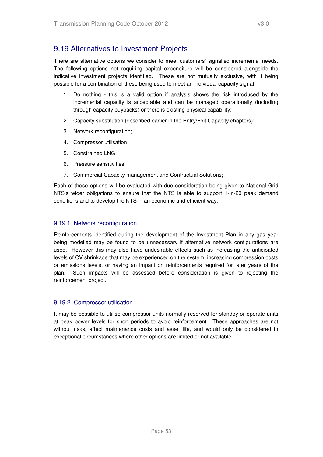## 9.19 Alternatives to Investment Projects

There are alternative options we consider to meet customers' signalled incremental needs. The following options not requiring capital expenditure will be considered alongside the indicative investment projects identified. These are not mutually exclusive, with it being possible for a combination of these being used to meet an individual capacity signal:

- 1. Do nothing this is a valid option if analysis shows the risk introduced by the incremental capacity is acceptable and can be managed operationally (including through capacity buybacks) or there is existing physical capability;
- 2. Capacity substitution (described earlier in the Entry/Exit Capacity chapters);
- 3. Network reconfiguration;
- 4. Compressor utilisation;
- 5. Constrained LNG;
- 6. Pressure sensitivities;
- 7. Commercial Capacity management and Contractual Solutions;

Each of these options will be evaluated with due consideration being given to National Grid NTS's wider obligations to ensure that the NTS is able to support 1-in-20 peak demand conditions and to develop the NTS in an economic and efficient way.

#### 9.19.1 Network reconfiguration

Reinforcements identified during the development of the Investment Plan in any gas year being modelled may be found to be unnecessary if alternative network configurations are used. However this may also have undesirable effects such as increasing the anticipated levels of CV shrinkage that may be experienced on the system, increasing compression costs or emissions levels, or having an impact on reinforcements required for later years of the plan. Such impacts will be assessed before consideration is given to rejecting the reinforcement project.

#### 9.19.2 Compressor utilisation

It may be possible to utilise compressor units normally reserved for standby or operate units at peak power levels for short periods to avoid reinforcement. These approaches are not without risks, affect maintenance costs and asset life, and would only be considered in exceptional circumstances where other options are limited or not available.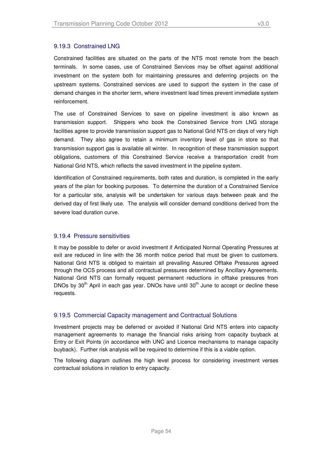Constrained facilities are situated on the parts of the NTS most remote from the beach terminals. In some cases, use of Constrained Services may be offset against additional investment on the system both for maintaining pressures and deferring projects on the upstream systems. Constrained services are used to support the system in the case of demand changes in the shorter term, where investment lead times prevent immediate system reinforcement.

The use of Constrained Services to save on pipeline investment is also known as transmission support. Shippers who book the Constrained Service from LNG storage facilities agree to provide transmission support gas to National Grid NTS on days of very high demand. They also agree to retain a minimum inventory level of gas in store so that transmission support gas is available all winter. In recognition of these transmission support obligations, customers of this Constrained Service receive a transportation credit from National Grid NTS, which reflects the saved investment in the pipeline system.

Identification of Constrained requirements, both rates and duration, is completed in the early years of the plan for booking purposes. To determine the duration of a Constrained Service for a particular site, analysis will be undertaken for various days between peak and the derived day of first likely use. The analysis will consider demand conditions derived from the severe load duration curve.

#### 9.19.4 Pressure sensitivities

It may be possible to defer or avoid investment if Anticipated Normal Operating Pressures at exit are reduced in line with the 36 month notice period that must be given to customers. National Grid NTS is obliged to maintain all prevailing Assured Offtake Pressures agreed through the OCS process and all contractual pressures determined by Ancillary Agreements. National Grid NTS can formally request permanent reductions in offtake pressures from DNOs by  $30<sup>th</sup>$  April in each gas year. DNOs have until  $30<sup>th</sup>$  June to accept or decline these requests.

#### 9.19.5 Commercial Capacity management and Contractual Solutions

Investment projects may be deferred or avoided if National Grid NTS enters into capacity management agreements to manage the financial risks arising from capacity buyback at Entry or Exit Points (in accordance with UNC and Licence mechanisms to manage capacity buyback). Further risk analysis will be required to determine if this is a viable option.

The following diagram outlines the high level process for considering investment verses contractual solutions in relation to entry capacity.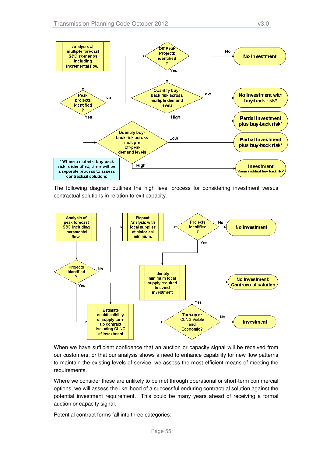

The following diagram outlines the high level process for considering investment versus contractual solutions in relation to exit capacity.



When we have sufficient confidence that an auction or capacity signal will be received from our customers, or that our analysis shows a need to enhance capability for new flow patterns to maintain the existing levels of service, we assess the most efficient means of meeting the requirements.

Where we consider these are unlikely to be met through operational or short-term commercial options, we will assess the likelihood of a successful enduring contractual solution against the potential investment requirement. This could be many years ahead of receiving a formal auction or capacity signal.

Potential contract forms fall into three categories: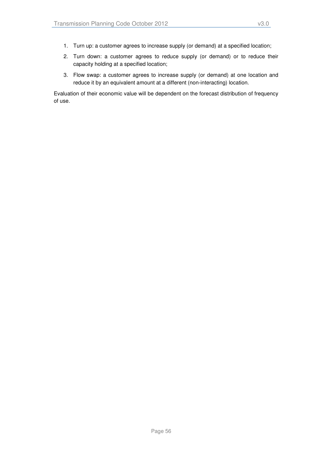- 1. Turn up: a customer agrees to increase supply (or demand) at a specified location;
- 2. Turn down: a customer agrees to reduce supply (or demand) or to reduce their capacity holding at a specified location;
- 3. Flow swap: a customer agrees to increase supply (or demand) at one location and reduce it by an equivalent amount at a different (non-interacting) location.

Evaluation of their economic value will be dependent on the forecast distribution of frequency of use.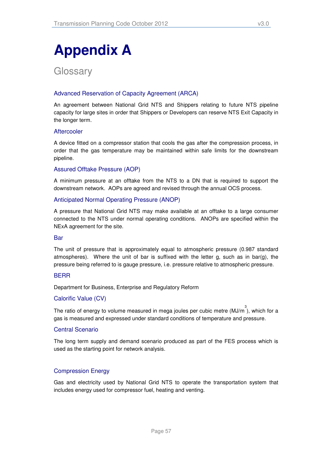# **Appendix A**

**Glossary** 

#### Advanced Reservation of Capacity Agreement (ARCA)

An agreement between National Grid NTS and Shippers relating to future NTS pipeline capacity for large sites in order that Shippers or Developers can reserve NTS Exit Capacity in the longer term.

#### **Aftercooler**

A device fitted on a compressor station that cools the gas after the compression process, in order that the gas temperature may be maintained within safe limits for the downstream pipeline.

#### Assured Offtake Pressure (AOP)

A minimum pressure at an offtake from the NTS to a DN that is required to support the downstream network. AOPs are agreed and revised through the annual OCS process.

#### Anticipated Normal Operating Pressure (ANOP)

A pressure that National Grid NTS may make available at an offtake to a large consumer connected to the NTS under normal operating conditions. ANOPs are specified within the NExA agreement for the site.

#### Bar

The unit of pressure that is approximately equal to atmospheric pressure (0.987 standard atmospheres). Where the unit of bar is suffixed with the letter g, such as in bar(g), the pressure being referred to is gauge pressure, i.e. pressure relative to atmospheric pressure.

#### BERR

Department for Business, Enterprise and Regulatory Reform

#### Calorific Value (CV)

The ratio of energy to volume measured in mega joules per cubic metre (MJ/m<sup>3</sup>), which for a gas is measured and expressed under standard conditions of temperature and pressure.

#### Central Scenario

The long term supply and demand scenario produced as part of the FES process which is used as the starting point for network analysis.

#### Compression Energy

Gas and electricity used by National Grid NTS to operate the transportation system that includes energy used for compressor fuel, heating and venting.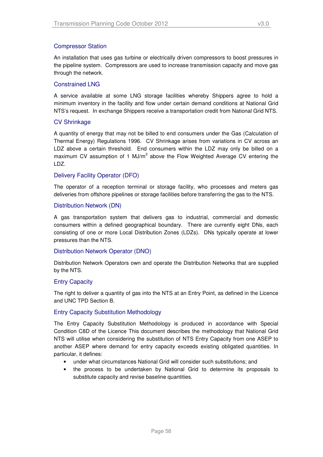An installation that uses gas turbine or electrically driven compressors to boost pressures in the pipeline system. Compressors are used to increase transmission capacity and move gas through the network.

#### Constrained LNG

A service available at some LNG storage facilities whereby Shippers agree to hold a minimum inventory in the facility and flow under certain demand conditions at National Grid NTS's request. In exchange Shippers receive a transportation credit from National Grid NTS.

#### CV Shrinkage

A quantity of energy that may not be billed to end consumers under the Gas (Calculation of Thermal Energy) Regulations 1996. CV Shrinkage arises from variations in CV across an LDZ above a certain threshold. End consumers within the LDZ may only be billed on a maximum CV assumption of 1 MJ/m<sup>3</sup> above the Flow Weighted Average CV entering the LDZ.

#### Delivery Facility Operator (DFO)

The operator of a reception terminal or storage facility, who processes and meters gas deliveries from offshore pipelines or storage facilities before transferring the gas to the NTS.

#### Distribution Network (DN)

A gas transportation system that delivers gas to industrial, commercial and domestic consumers within a defined geographical boundary. There are currently eight DNs, each consisting of one or more Local Distribution Zones (LDZs). DNs typically operate at lower pressures than the NTS.

#### Distribution Network Operator (DNO)

Distribution Network Operators own and operate the Distribution Networks that are supplied by the NTS.

#### Entry Capacity

The right to deliver a quantity of gas into the NTS at an Entry Point, as defined in the Licence and UNC TPD Section B.

#### Entry Capacity Substitution Methodology

The Entry Capacity Substitution Methodology is produced in accordance with Special Condition C8D of the Licence This document describes the methodology that National Grid NTS will utilise when considering the substitution of NTS Entry Capacity from one ASEP to another ASEP where demand for entry capacity exceeds existing obligated quantities. In particular, it defines:

- under what circumstances National Grid will consider such substitutions; and
- the process to be undertaken by National Grid to determine its proposals to substitute capacity and revise baseline quantities.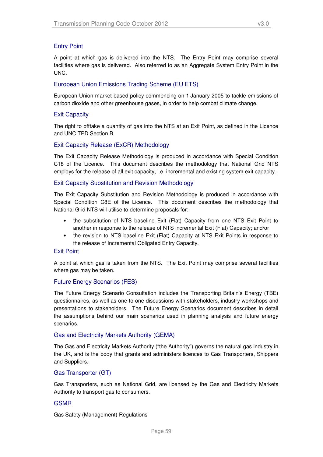#### Entry Point

A point at which gas is delivered into the NTS. The Entry Point may comprise several facilities where gas is delivered. Also referred to as an Aggregate System Entry Point in the UNC.

#### European Union Emissions Trading Scheme (EU ETS)

European Union market based policy commencing on 1 January 2005 to tackle emissions of carbon dioxide and other greenhouse gases, in order to help combat climate change.

#### Exit Capacity

The right to offtake a quantity of gas into the NTS at an Exit Point, as defined in the Licence and UNC TPD Section B.

#### Exit Capacity Release (ExCR) Methodology

The Exit Capacity Release Methodology is produced in accordance with Special Condition C18 of the Licence. This document describes the methodology that National Grid NTS employs for the release of all exit capacity, i.e. incremental and existing system exit capacity..

#### Exit Capacity Substitution and Revision Methodology

The Exit Capacity Substitution and Revision Methodology is produced in accordance with Special Condition C8E of the Licence. This document describes the methodology that National Grid NTS will utilise to determine proposals for:

- the substitution of NTS baseline Exit (Flat) Capacity from one NTS Exit Point to another in response to the release of NTS incremental Exit (Flat) Capacity; and/or
- the revision to NTS baseline Exit (Flat) Capacity at NTS Exit Points in response to the release of Incremental Obligated Entry Capacity.

#### Exit Point

A point at which gas is taken from the NTS. The Exit Point may comprise several facilities where gas may be taken.

#### Future Energy Scenarios (FES)

The Future Energy Scenario Consultation includes the Transporting Britain's Energy (TBE) questionnaires, as well as one to one discussions with stakeholders, industry workshops and presentations to stakeholders. The Future Energy Scenarios document describes in detail the assumptions behind our main scenarios used in planning analysis and future energy scenarios.

#### Gas and Electricity Markets Authority (GEMA)

The Gas and Electricity Markets Authority ("the Authority") governs the natural gas industry in the UK, and is the body that grants and administers licences to Gas Transporters, Shippers and Suppliers.

#### Gas Transporter (GT)

Gas Transporters, such as National Grid, are licensed by the Gas and Electricity Markets Authority to transport gas to consumers.

#### GSMR

Gas Safety (Management) Regulations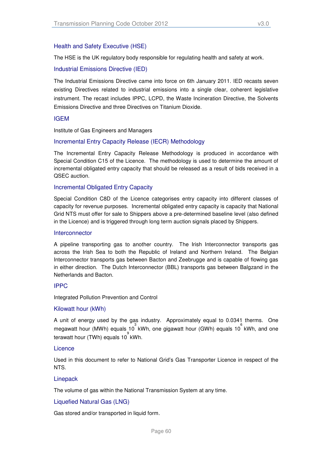#### Health and Safety Executive (HSE)

The HSE is the UK regulatory body responsible for regulating health and safety at work.

#### Industrial Emissions Directive (IED)

The Industrial Emissions Directive came into force on 6th January 2011. IED recasts seven existing Directives related to industrial emissions into a single clear, coherent legislative instrument. The recast includes IPPC, LCPD, the Waste Incineration Directive, the Solvents Emissions Directive and three Directives on Titanium Dioxide.

#### IGEM

Institute of Gas Engineers and Managers

#### Incremental Entry Capacity Release (IECR) Methodology

The Incremental Entry Capacity Release Methodology is produced in accordance with Special Condition C15 of the Licence. The methodology is used to determine the amount of incremental obligated entry capacity that should be released as a result of bids received in a QSEC auction.

#### Incremental Obligated Entry Capacity

Special Condition C8D of the Licence categorises entry capacity into different classes of capacity for revenue purposes. Incremental obligated entry capacity is capacity that National Grid NTS must offer for sale to Shippers above a pre-determined baseline level (also defined in the Licence) and is triggered through long term auction signals placed by Shippers.

#### Interconnector

A pipeline transporting gas to another country. The Irish Interconnector transports gas across the Irish Sea to both the Republic of Ireland and Northern Ireland. The Belgian Interconnector transports gas between Bacton and Zeebrugge and is capable of flowing gas in either direction. The Dutch Interconnector (BBL) transports gas between Balgzand in the Netherlands and Bacton.

#### IPPC

Integrated Pollution Prevention and Control

#### Kilowatt hour (kWh)

A unit of energy used by the gas industry. Approximately equal to 0.0341 therms. One megawatt hour (MWh) equals 10<sup>3</sup> kWh, one gigawatt hour (GWh) equals 10<sup>6</sup> kWh, and one terawatt hour (TWh) equals 10<sup>9</sup> kWh.

#### Licence

Used in this document to refer to National Grid's Gas Transporter Licence in respect of the NTS.

#### **Linepack**

The volume of gas within the National Transmission System at any time.

#### Liquefied Natural Gas (LNG)

Gas stored and/or transported in liquid form.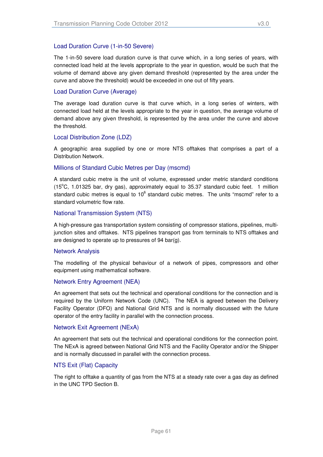The 1-in-50 severe load duration curve is that curve which, in a long series of years, with connected load held at the levels appropriate to the year in question, would be such that the volume of demand above any given demand threshold (represented by the area under the curve and above the threshold) would be exceeded in one out of fifty years.

#### Load Duration Curve (Average)

The average load duration curve is that curve which, in a long series of winters, with connected load held at the levels appropriate to the year in question, the average volume of demand above any given threshold, is represented by the area under the curve and above the threshold.

#### Local Distribution Zone (LDZ)

A geographic area supplied by one or more NTS offtakes that comprises a part of a Distribution Network.

#### Millions of Standard Cubic Metres per Day (mscmd)

A standard cubic metre is the unit of volume, expressed under metric standard conditions ( $15^{\circ}$ C, 1.01325 bar, dry gas), approximately equal to 35.37 standard cubic feet. 1 million standard cubic metres is equal to 10<sup>6</sup> standard cubic metres. The units "mscmd" refer to a standard volumetric flow rate.

#### National Transmission System (NTS)

A high-pressure gas transportation system consisting of compressor stations, pipelines, multijunction sites and offtakes. NTS pipelines transport gas from terminals to NTS offtakes and are designed to operate up to pressures of 94 bar(g).

#### Network Analysis

The modelling of the physical behaviour of a network of pipes, compressors and other equipment using mathematical software.

#### Network Entry Agreement (NEA)

An agreement that sets out the technical and operational conditions for the connection and is required by the Uniform Network Code (UNC). The NEA is agreed between the Delivery Facility Operator (DFO) and National Grid NTS and is normally discussed with the future operator of the entry facility in parallel with the connection process.

#### Network Exit Agreement (NExA)

An agreement that sets out the technical and operational conditions for the connection point. The NExA is agreed between National Grid NTS and the Facility Operator and/or the Shipper and is normally discussed in parallel with the connection process.

#### NTS Exit (Flat) Capacity

The right to offtake a quantity of gas from the NTS at a steady rate over a gas day as defined in the UNC TPD Section B.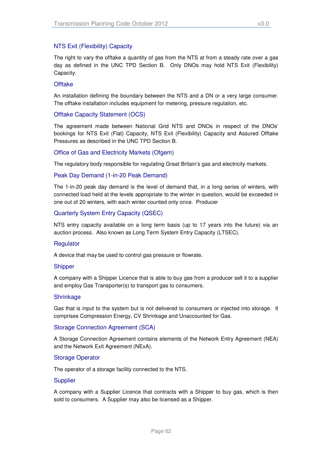The right to vary the offtake a quantity of gas from the NTS at from a steady rate over a gas day as defined in the UNC TPD Section B. Only DNOs may hold NTS Exit (Flexibility) Capacity.

#### **Offtake**

An installation defining the boundary between the NTS and a DN or a very large consumer. The offtake installation includes equipment for metering, pressure regulation, etc.

#### Offtake Capacity Statement (OCS)

The agreement made between National Grid NTS and DNOs in respect of the DNOs' bookings for NTS Exit (Flat) Capacity, NTS Exit (Flexibility) Capacity and Assured Offtake Pressures as described in the UNC TPD Section B.

#### Office of Gas and Electricity Markets (Ofgem)

The regulatory body responsible for regulating Great Britain's gas and electricity markets.

#### Peak Day Demand (1-in-20 Peak Demand)

The 1-in-20 peak day demand is the level of demand that, in a long series of winters, with connected load held at the levels appropriate to the winter in question, would be exceeded in one out of 20 winters, with each winter counted only once. Producer

#### Quarterly System Entry Capacity (QSEC)

NTS entry capacity available on a long term basis (up to 17 years into the future) via an auction process. Also known as Long Term System Entry Capacity (LTSEC).

#### **Regulator**

A device that may be used to control gas pressure or flowrate.

#### **Shipper**

A company with a Shipper Licence that is able to buy gas from a producer sell it to a supplier and employ Gas Transporter(s) to transport gas to consumers.

#### **Shrinkage**

Gas that is input to the system but is not delivered to consumers or injected into storage. It comprises Compression Energy, CV Shrinkage and Unaccounted for Gas.

#### Storage Connection Agreement (SCA)

A Storage Connection Agreement contains elements of the Network Entry Agreement (NEA) and the Network Exit Agreement (NExA).

#### Storage Operator

The operator of a storage facility connected to the NTS.

#### **Supplier**

A company with a Supplier Licence that contracts with a Shipper to buy gas, which is then sold to consumers. A Supplier may also be licensed as a Shipper.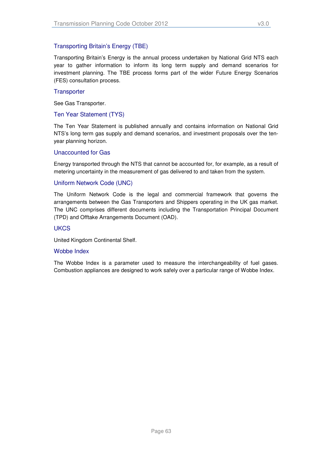Transporting Britain's Energy is the annual process undertaken by National Grid NTS each year to gather information to inform its long term supply and demand scenarios for investment planning. The TBE process forms part of the wider Future Energy Scenarios (FES) consultation process.

#### **Transporter**

See Gas Transporter.

#### Ten Year Statement (TYS)

The Ten Year Statement is published annually and contains information on National Grid NTS's long term gas supply and demand scenarios, and investment proposals over the tenyear planning horizon.

#### Unaccounted for Gas

Energy transported through the NTS that cannot be accounted for, for example, as a result of metering uncertainty in the measurement of gas delivered to and taken from the system.

#### Uniform Network Code (UNC)

The Uniform Network Code is the legal and commercial framework that governs the arrangements between the Gas Transporters and Shippers operating in the UK gas market. The UNC comprises different documents including the Transportation Principal Document (TPD) and Offtake Arrangements Document (OAD).

#### **UKCS**

United Kingdom Continental Shelf.

#### Wobbe Index

The Wobbe Index is a parameter used to measure the interchangeability of fuel gases. Combustion appliances are designed to work safely over a particular range of Wobbe Index.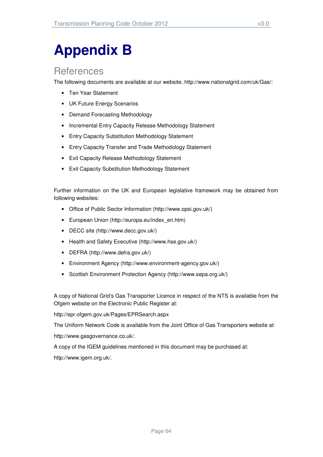# **Appendix B**

## **References**

The following documents are available at our website, http://www.nationalgrid.com/uk/Gas/:

- Ten Year Statement
- UK Future Energy Scenarios
- Demand Forecasting Methodology
- Incremental Entry Capacity Release Methodology Statement
- Entry Capacity Substitution Methodology Statement
- Entry Capacity Transfer and Trade Methodology Statement
- Exit Capacity Release Methodology Statement
- Exit Capacity Substitution Methodology Statement

Further information on the UK and European legislative framework may be obtained from following websites:

- Office of Public Sector Information (http://www.opsi.gov.uk/)
- European Union (http://europa.eu/index\_en.htm)
- DECC site (http://www.decc.gov.uk/)
- Health and Safety Executive (http://www.hse.gov.uk/)
- DEFRA (http://www.defra.gov.uk/)
- Environment Agency (http://www.environment-agency.gov.uk/)
- Scottish Environment Protection Agency (http://www.sepa.org.uk/)

A copy of National Grid's Gas Transporter Licence in respect of the NTS is available from the Ofgem website on the Electronic Public Register at:

http://epr.ofgem.gov.uk/Pages/EPRSearch.aspx

The Uniform Network Code is available from the Joint Office of Gas Transporters website at:

http://www.gasgovernance.co.uk/.

A copy of the IGEM guidelines mentioned in this document may be purchased at:

http://www.igem.org.uk/.